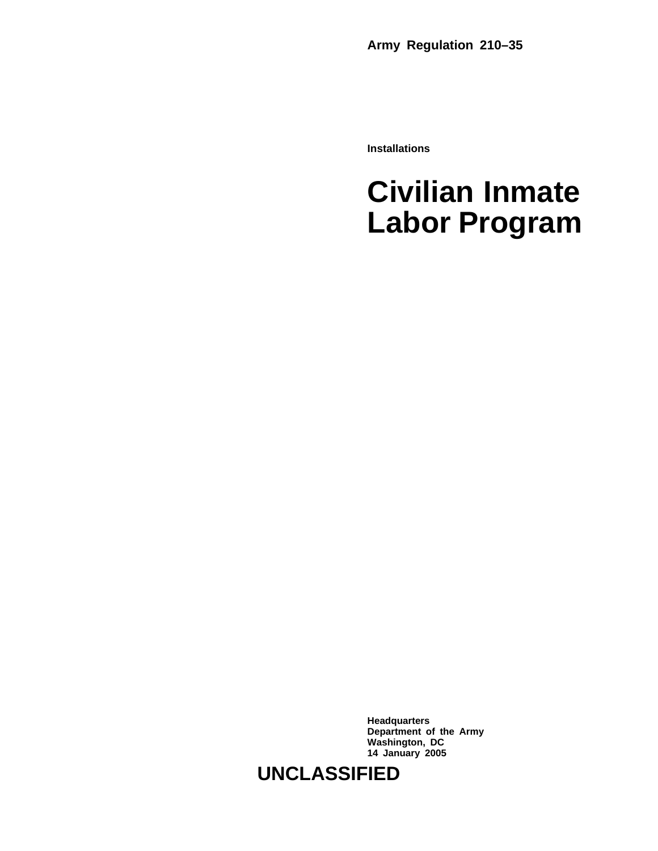**Installations**

### **Civilian Inmate Labor Program**

**Headquarters Department of the Army Washington, DC 14 January 2005**

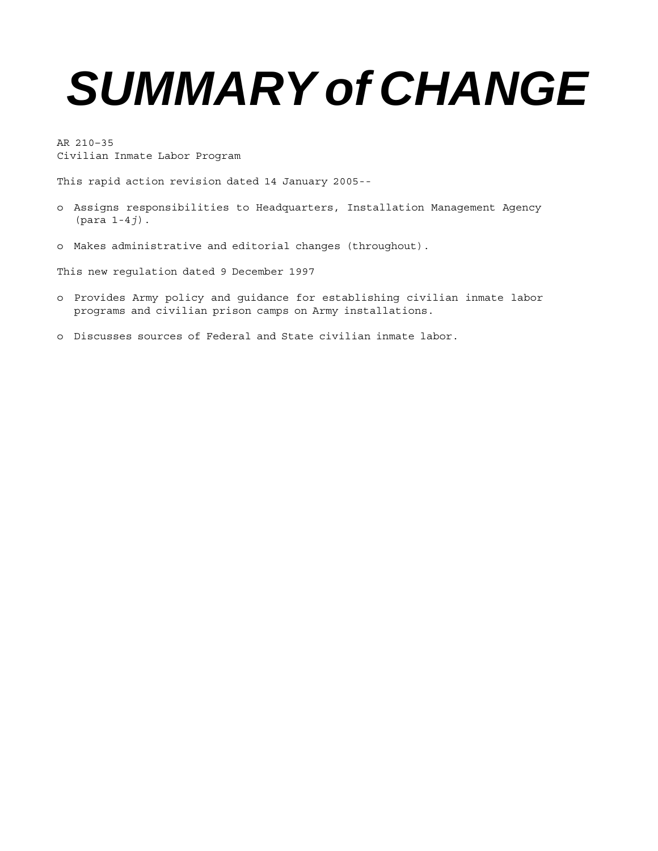## **SUMMARY of CHANGE**

AR 210–35 Civilian Inmate Labor Program

This rapid action revision dated 14 January 2005--

- o Assigns responsibilities to Headquarters, Installation Management Agency (para 1-4*j*).
- o Makes administrative and editorial changes (throughout).

This new regulation dated 9 December 1997

- o Provides Army policy and guidance for establishing civilian inmate labor programs and civilian prison camps on Army installations.
- o Discusses sources of Federal and State civilian inmate labor.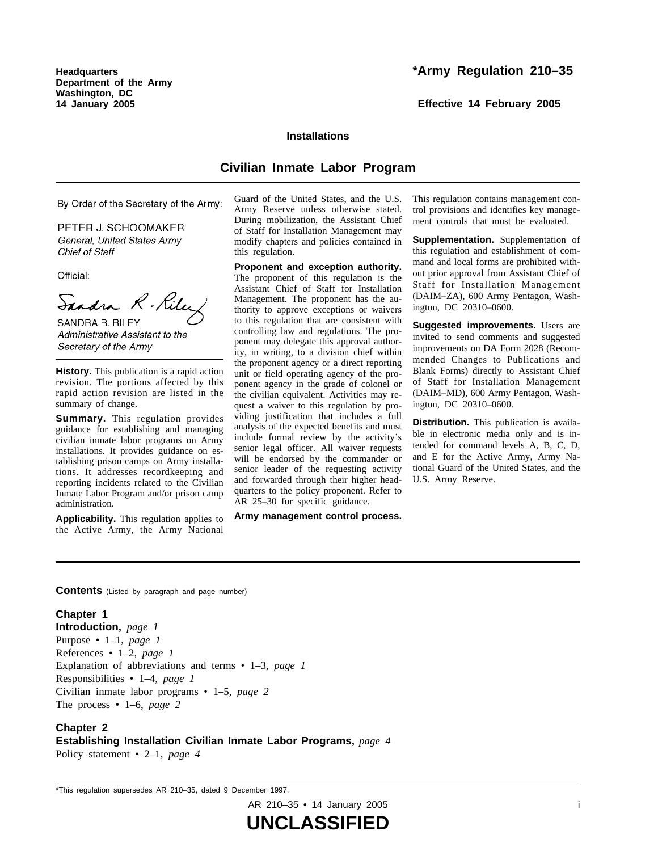**Headquarters Department of the Army Washington, DC 14 January 2005**

**Effective 14 February 2005**

#### **Installations**

#### **Civilian Inmate Labor Program**

By Order of the Secretary of the Army:

PETER J. SCHOOMAKER General, United States Army **Chief of Staff** 

Official:

Sandra R. Rile

SANDRA R. RILEY Administrative Assistant to the Secretary of the Army

**History.** This publication is a rapid action revision. The portions affected by this rapid action revision are listed in the summary of change.

**Summary.** This regulation provides guidance for establishing and managing civilian inmate labor programs on Army installations. It provides guidance on establishing prison camps on Army installations. It addresses recordkeeping and reporting incidents related to the Civilian Inmate Labor Program and/or prison camp administration.

**Applicability.** This regulation applies to the Active Army, the Army National

Guard of the United States, and the U.S. Army Reserve unless otherwise stated. During mobilization, the Assistant Chief of Staff for Installation Management may modify chapters and policies contained in this regulation.

**Proponent and exception authority.** The proponent of this regulation is the Assistant Chief of Staff for Installation Management. The proponent has the authority to approve exceptions or waivers to this regulation that are consistent with controlling law and regulations. The proponent may delegate this approval authority, in writing, to a division chief within the proponent agency or a direct reporting unit or field operating agency of the proponent agency in the grade of colonel or the civilian equivalent. Activities may request a waiver to this regulation by providing justification that includes a full analysis of the expected benefits and must include formal review by the activity's senior legal officer. All waiver requests will be endorsed by the commander or senior leader of the requesting activity and forwarded through their higher headquarters to the policy proponent. Refer to AR 25–30 for specific guidance.

**Army management control process.**

This regulation contains management control provisions and identifies key management controls that must be evaluated.

**Supplementation.** Supplementation of this regulation and establishment of command and local forms are prohibited without prior approval from Assistant Chief of Staff for Installation Management (DAIM–ZA), 600 Army Pentagon, Washington, DC 20310–0600.

**Suggested improvements.** Users are invited to send comments and suggested improvements on DA Form 2028 (Recommended Changes to Publications and Blank Forms) directly to Assistant Chief of Staff for Installation Management (DAIM–MD), 600 Army Pentagon, Washington, DC 20310–0600.

**Distribution.** This publication is available in electronic media only and is intended for command levels A, B, C, D, and E for the Active Army, Army National Guard of the United States, and the U.S. Army Reserve.

**Contents** (Listed by paragraph and page number)

#### **Chapter 1**

**Introduction,** *page 1* Purpose • 1–1, *page 1* References • 1–2, *page 1* Explanation of abbreviations and terms • 1–3, *page 1* Responsibilities • 1–4, *page 1* Civilian inmate labor programs • 1–5, *page 2* The process • 1–6, *page 2*

#### **Chapter 2 Establishing Installation Civilian Inmate Labor Programs,** *page 4*

Policy statement • 2–1, *page 4*

AR 210–35 • 14 January 2005 i

<sup>\*</sup>This regulation supersedes AR 210–35, dated 9 December 1997.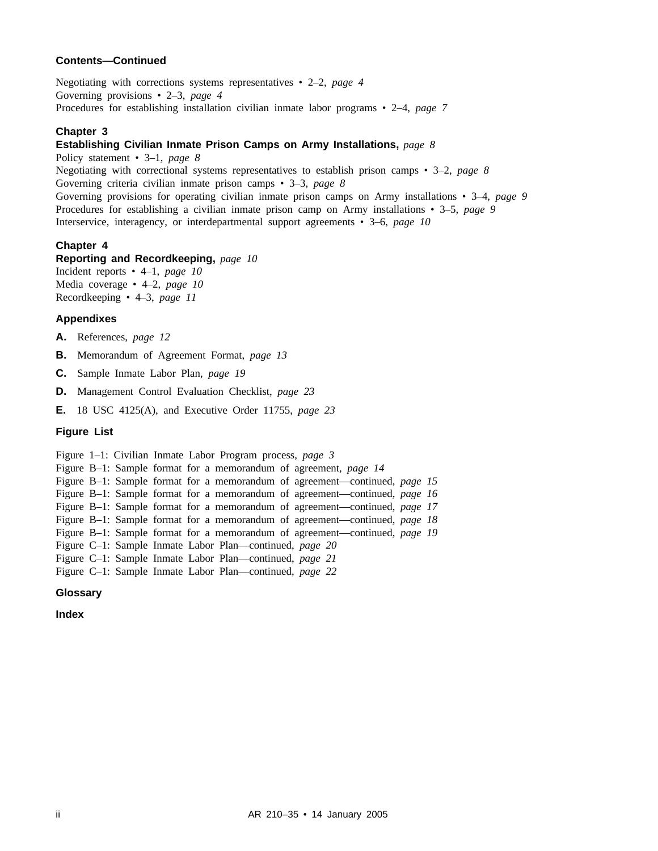#### **Contents—Continued**

Negotiating with corrections systems representatives • 2–2, *page 4* Governing provisions • 2–3, *page 4* Procedures for establishing installation civilian inmate labor programs • 2–4, *page 7*

#### **Chapter 3**

#### **Establishing Civilian Inmate Prison Camps on Army Installations,** *page 8*

Policy statement • 3–1, *page 8* Negotiating with correctional systems representatives to establish prison camps • 3–2, *page 8* Governing criteria civilian inmate prison camps • 3–3, *page 8* Governing provisions for operating civilian inmate prison camps on Army installations • 3–4, *page 9* Procedures for establishing a civilian inmate prison camp on Army installations • 3–5, *page 9* Interservice, interagency, or interdepartmental support agreements • 3–6, *page 10*

#### **Chapter 4**

**Reporting and Recordkeeping,** *page 10* Incident reports • 4–1, *page 10* Media coverage • 4–2, *page 10* Recordkeeping • 4–3, *page 11*

#### **Appendixes**

- **A.** References, *page 12*
- **B.** Memorandum of Agreement Format, *page 13*
- **C.** Sample Inmate Labor Plan, *page 19*
- **D.** Management Control Evaluation Checklist, *page 23*
- **E.** 18 USC 4125(A), and Executive Order 11755, *page 23*

#### **Figure List**

|  |  | Figure 1-1: Civilian Inmate Labor Program process, page 3                  |  |  |  |
|--|--|----------------------------------------------------------------------------|--|--|--|
|  |  | Figure B-1: Sample format for a memorandum of agreement, page 14           |  |  |  |
|  |  | Figure B-1: Sample format for a memorandum of agreement—continued, page 15 |  |  |  |
|  |  | Figure B-1: Sample format for a memorandum of agreement—continued, page 16 |  |  |  |
|  |  | Figure B-1: Sample format for a memorandum of agreement—continued, page 17 |  |  |  |
|  |  | Figure B-1: Sample format for a memorandum of agreement—continued, page 18 |  |  |  |
|  |  | Figure B-1: Sample format for a memorandum of agreement—continued, page 19 |  |  |  |
|  |  | Figure C-1: Sample Inmate Labor Plan—continued, page 20                    |  |  |  |
|  |  | Figure C-1: Sample Inmate Labor Plan—continued, page 21                    |  |  |  |
|  |  | Figure C-1: Sample Inmate Labor Plan—continued, page 22                    |  |  |  |

#### **Glossary**

#### **Index**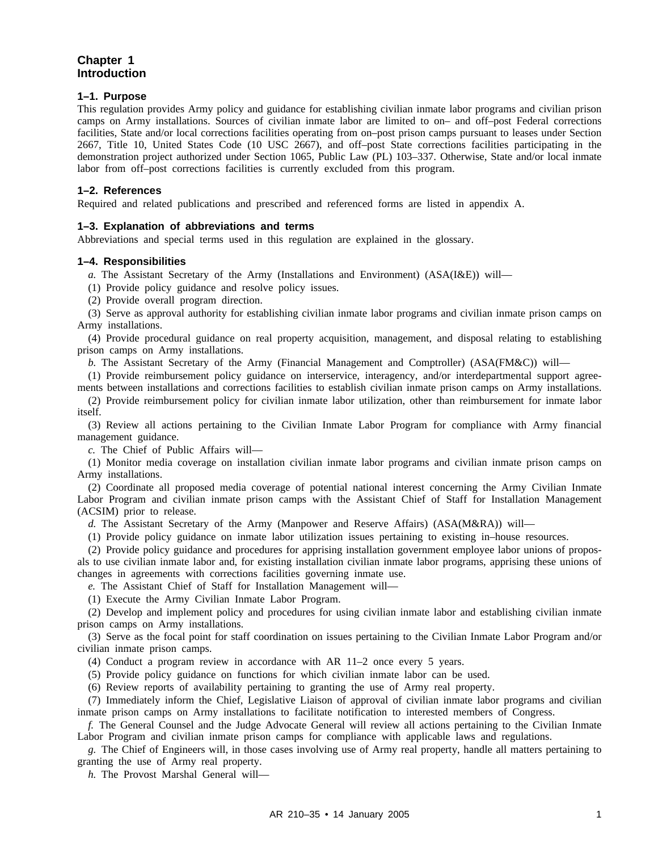#### **Chapter 1 Introduction**

#### **1–1. Purpose**

This regulation provides Army policy and guidance for establishing civilian inmate labor programs and civilian prison camps on Army installations. Sources of civilian inmate labor are limited to on– and off–post Federal corrections facilities, State and/or local corrections facilities operating from on–post prison camps pursuant to leases under Section 2667, Title 10, United States Code (10 USC 2667), and off–post State corrections facilities participating in the demonstration project authorized under Section 1065, Public Law (PL) 103–337. Otherwise, State and/or local inmate labor from off–post corrections facilities is currently excluded from this program.

#### **1–2. References**

Required and related publications and prescribed and referenced forms are listed in appendix A.

#### **1–3. Explanation of abbreviations and terms**

Abbreviations and special terms used in this regulation are explained in the glossary.

#### **1–4. Responsibilities**

*a.* The Assistant Secretary of the Army (Installations and Environment) (ASA(I&E)) will—

(1) Provide policy guidance and resolve policy issues.

(2) Provide overall program direction.

(3) Serve as approval authority for establishing civilian inmate labor programs and civilian inmate prison camps on Army installations.

(4) Provide procedural guidance on real property acquisition, management, and disposal relating to establishing prison camps on Army installations.

*b.* The Assistant Secretary of the Army (Financial Management and Comptroller) (ASA(FM&C)) will—

(1) Provide reimbursement policy guidance on interservice, interagency, and/or interdepartmental support agreements between installations and corrections facilities to establish civilian inmate prison camps on Army installations.

(2) Provide reimbursement policy for civilian inmate labor utilization, other than reimbursement for inmate labor itself.

(3) Review all actions pertaining to the Civilian Inmate Labor Program for compliance with Army financial management guidance.

*c.* The Chief of Public Affairs will—

(1) Monitor media coverage on installation civilian inmate labor programs and civilian inmate prison camps on Army installations.

(2) Coordinate all proposed media coverage of potential national interest concerning the Army Civilian Inmate Labor Program and civilian inmate prison camps with the Assistant Chief of Staff for Installation Management (ACSIM) prior to release.

*d.* The Assistant Secretary of the Army (Manpower and Reserve Affairs) (ASA(M&RA)) will—

(1) Provide policy guidance on inmate labor utilization issues pertaining to existing in–house resources.

(2) Provide policy guidance and procedures for apprising installation government employee labor unions of proposals to use civilian inmate labor and, for existing installation civilian inmate labor programs, apprising these unions of changes in agreements with corrections facilities governing inmate use.

*e.* The Assistant Chief of Staff for Installation Management will—

(1) Execute the Army Civilian Inmate Labor Program.

(2) Develop and implement policy and procedures for using civilian inmate labor and establishing civilian inmate prison camps on Army installations.

(3) Serve as the focal point for staff coordination on issues pertaining to the Civilian Inmate Labor Program and/or civilian inmate prison camps.

(4) Conduct a program review in accordance with AR 11–2 once every 5 years.

(5) Provide policy guidance on functions for which civilian inmate labor can be used.

(6) Review reports of availability pertaining to granting the use of Army real property.

(7) Immediately inform the Chief, Legislative Liaison of approval of civilian inmate labor programs and civilian inmate prison camps on Army installations to facilitate notification to interested members of Congress.

*f.* The General Counsel and the Judge Advocate General will review all actions pertaining to the Civilian Inmate Labor Program and civilian inmate prison camps for compliance with applicable laws and regulations.

*g.* The Chief of Engineers will, in those cases involving use of Army real property, handle all matters pertaining to granting the use of Army real property.

*h.* The Provost Marshal General will—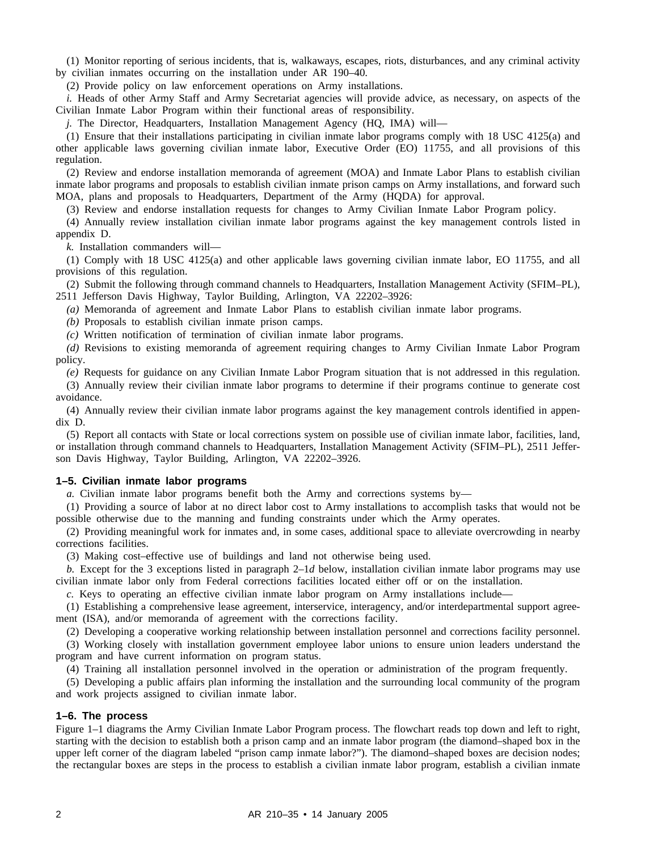(1) Monitor reporting of serious incidents, that is, walkaways, escapes, riots, disturbances, and any criminal activity by civilian inmates occurring on the installation under AR 190–40.

(2) Provide policy on law enforcement operations on Army installations.

*i.* Heads of other Army Staff and Army Secretariat agencies will provide advice, as necessary, on aspects of the Civilian Inmate Labor Program within their functional areas of responsibility.

*j.* The Director, Headquarters, Installation Management Agency (HQ, IMA) will—

(1) Ensure that their installations participating in civilian inmate labor programs comply with 18 USC 4125(a) and other applicable laws governing civilian inmate labor, Executive Order (EO) 11755, and all provisions of this regulation.

(2) Review and endorse installation memoranda of agreement (MOA) and Inmate Labor Plans to establish civilian inmate labor programs and proposals to establish civilian inmate prison camps on Army installations, and forward such MOA, plans and proposals to Headquarters, Department of the Army (HQDA) for approval.

(3) Review and endorse installation requests for changes to Army Civilian Inmate Labor Program policy.

(4) Annually review installation civilian inmate labor programs against the key management controls listed in appendix D.

*k.* Installation commanders will—

(1) Comply with 18 USC 4125(a) and other applicable laws governing civilian inmate labor, EO 11755, and all provisions of this regulation.

(2) Submit the following through command channels to Headquarters, Installation Management Activity (SFIM–PL), 2511 Jefferson Davis Highway, Taylor Building, Arlington, VA 22202–3926:

*(a)* Memoranda of agreement and Inmate Labor Plans to establish civilian inmate labor programs.

*(b)* Proposals to establish civilian inmate prison camps.

*(c)* Written notification of termination of civilian inmate labor programs.

*(d)* Revisions to existing memoranda of agreement requiring changes to Army Civilian Inmate Labor Program policy.

*(e)* Requests for guidance on any Civilian Inmate Labor Program situation that is not addressed in this regulation.

(3) Annually review their civilian inmate labor programs to determine if their programs continue to generate cost avoidance.

(4) Annually review their civilian inmate labor programs against the key management controls identified in appendix D.

(5) Report all contacts with State or local corrections system on possible use of civilian inmate labor, facilities, land, or installation through command channels to Headquarters, Installation Management Activity (SFIM–PL), 2511 Jefferson Davis Highway, Taylor Building, Arlington, VA 22202–3926.

#### **1–5. Civilian inmate labor programs**

*a.* Civilian inmate labor programs benefit both the Army and corrections systems by—

(1) Providing a source of labor at no direct labor cost to Army installations to accomplish tasks that would not be possible otherwise due to the manning and funding constraints under which the Army operates.

(2) Providing meaningful work for inmates and, in some cases, additional space to alleviate overcrowding in nearby corrections facilities.

(3) Making cost–effective use of buildings and land not otherwise being used.

*b.* Except for the 3 exceptions listed in paragraph 2–1*d* below, installation civilian inmate labor programs may use civilian inmate labor only from Federal corrections facilities located either off or on the installation.

*c.* Keys to operating an effective civilian inmate labor program on Army installations include—

(1) Establishing a comprehensive lease agreement, interservice, interagency, and/or interdepartmental support agreement (ISA), and/or memoranda of agreement with the corrections facility.

(2) Developing a cooperative working relationship between installation personnel and corrections facility personnel. (3) Working closely with installation government employee labor unions to ensure union leaders understand the program and have current information on program status.

(4) Training all installation personnel involved in the operation or administration of the program frequently.

(5) Developing a public affairs plan informing the installation and the surrounding local community of the program and work projects assigned to civilian inmate labor.

#### **1–6. The process**

Figure 1–1 diagrams the Army Civilian Inmate Labor Program process. The flowchart reads top down and left to right, starting with the decision to establish both a prison camp and an inmate labor program (the diamond–shaped box in the upper left corner of the diagram labeled "prison camp inmate labor?"). The diamond–shaped boxes are decision nodes; the rectangular boxes are steps in the process to establish a civilian inmate labor program, establish a civilian inmate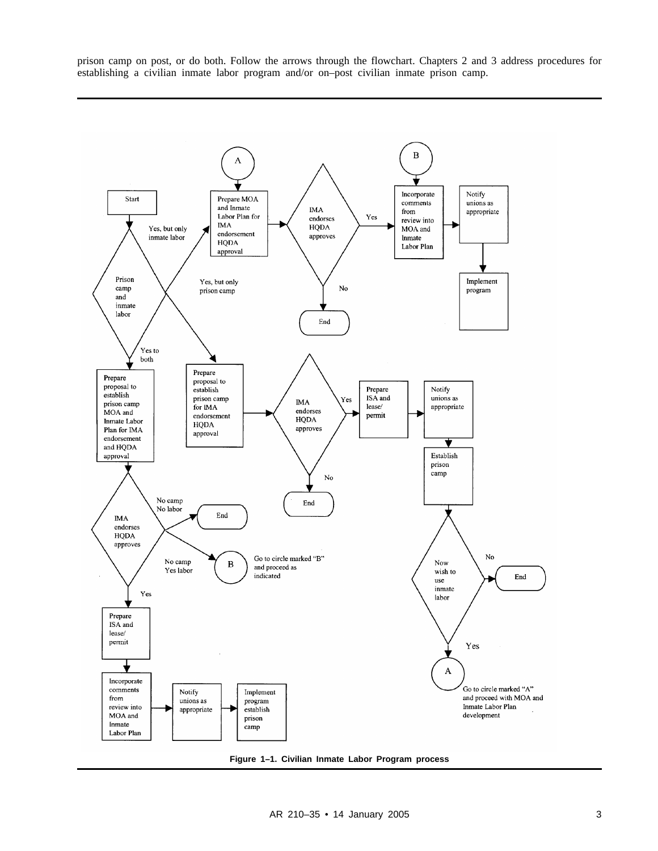prison camp on post, or do both. Follow the arrows through the flowchart. Chapters 2 and 3 address procedures for establishing a civilian inmate labor program and/or on–post civilian inmate prison camp.



**Figure 1–1. Civilian Inmate Labor Program process**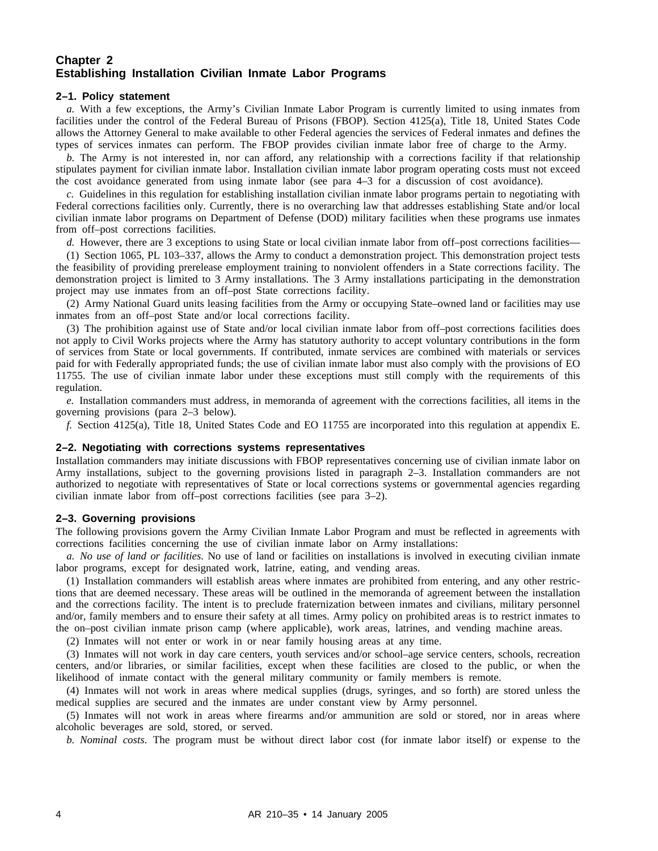#### **Chapter 2 Establishing Installation Civilian Inmate Labor Programs**

#### **2–1. Policy statement**

*a.* With a few exceptions, the Army's Civilian Inmate Labor Program is currently limited to using inmates from facilities under the control of the Federal Bureau of Prisons (FBOP). Section 4125(a), Title 18, United States Code allows the Attorney General to make available to other Federal agencies the services of Federal inmates and defines the types of services inmates can perform. The FBOP provides civilian inmate labor free of charge to the Army.

*b.* The Army is not interested in, nor can afford, any relationship with a corrections facility if that relationship stipulates payment for civilian inmate labor. Installation civilian inmate labor program operating costs must not exceed the cost avoidance generated from using inmate labor (see para 4–3 for a discussion of cost avoidance).

*c.* Guidelines in this regulation for establishing installation civilian inmate labor programs pertain to negotiating with Federal corrections facilities only. Currently, there is no overarching law that addresses establishing State and/or local civilian inmate labor programs on Department of Defense (DOD) military facilities when these programs use inmates from off–post corrections facilities.

*d.* However, there are 3 exceptions to using State or local civilian inmate labor from off–post corrections facilities—

(1) Section 1065, PL 103–337, allows the Army to conduct a demonstration project. This demonstration project tests the feasibility of providing prerelease employment training to nonviolent offenders in a State corrections facility. The demonstration project is limited to 3 Army installations. The 3 Army installations participating in the demonstration project may use inmates from an off–post State corrections facility.

(2) Army National Guard units leasing facilities from the Army or occupying State–owned land or facilities may use inmates from an off–post State and/or local corrections facility.

(3) The prohibition against use of State and/or local civilian inmate labor from off–post corrections facilities does not apply to Civil Works projects where the Army has statutory authority to accept voluntary contributions in the form of services from State or local governments. If contributed, inmate services are combined with materials or services paid for with Federally appropriated funds; the use of civilian inmate labor must also comply with the provisions of EO 11755. The use of civilian inmate labor under these exceptions must still comply with the requirements of this regulation.

*e.* Installation commanders must address, in memoranda of agreement with the corrections facilities, all items in the governing provisions (para 2–3 below).

*f.* Section 4125(a), Title 18, United States Code and EO 11755 are incorporated into this regulation at appendix E.

#### **2–2. Negotiating with corrections systems representatives**

Installation commanders may initiate discussions with FBOP representatives concerning use of civilian inmate labor on Army installations, subject to the governing provisions listed in paragraph 2–3. Installation commanders are not authorized to negotiate with representatives of State or local corrections systems or governmental agencies regarding civilian inmate labor from off–post corrections facilities (see para 3–2).

#### **2–3. Governing provisions**

The following provisions govern the Army Civilian Inmate Labor Program and must be reflected in agreements with corrections facilities concerning the use of civilian inmate labor on Army installations:

*a. No use of land or facilities*. No use of land or facilities on installations is involved in executing civilian inmate labor programs, except for designated work, latrine, eating, and vending areas.

(1) Installation commanders will establish areas where inmates are prohibited from entering, and any other restrictions that are deemed necessary. These areas will be outlined in the memoranda of agreement between the installation and the corrections facility. The intent is to preclude fraternization between inmates and civilians, military personnel and/or, family members and to ensure their safety at all times. Army policy on prohibited areas is to restrict inmates to the on–post civilian inmate prison camp (where applicable), work areas, latrines, and vending machine areas.

(2) Inmates will not enter or work in or near family housing areas at any time.

(3) Inmates will not work in day care centers, youth services and/or school–age service centers, schools, recreation centers, and/or libraries, or similar facilities, except when these facilities are closed to the public, or when the likelihood of inmate contact with the general military community or family members is remote.

(4) Inmates will not work in areas where medical supplies (drugs, syringes, and so forth) are stored unless the medical supplies are secured and the inmates are under constant view by Army personnel.

(5) Inmates will not work in areas where firearms and/or ammunition are sold or stored, nor in areas where alcoholic beverages are sold, stored, or served.

*b. Nominal costs*. The program must be without direct labor cost (for inmate labor itself) or expense to the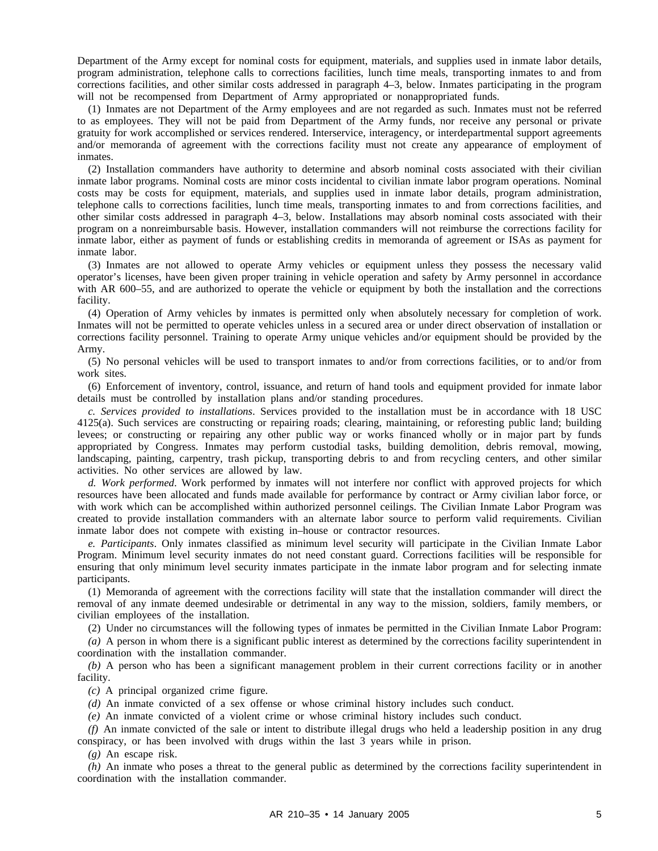Department of the Army except for nominal costs for equipment, materials, and supplies used in inmate labor details, program administration, telephone calls to corrections facilities, lunch time meals, transporting inmates to and from corrections facilities, and other similar costs addressed in paragraph 4–3, below. Inmates participating in the program will not be recompensed from Department of Army appropriated or nonappropriated funds.

(1) Inmates are not Department of the Army employees and are not regarded as such. Inmates must not be referred to as employees. They will not be paid from Department of the Army funds, nor receive any personal or private gratuity for work accomplished or services rendered. Interservice, interagency, or interdepartmental support agreements and/or memoranda of agreement with the corrections facility must not create any appearance of employment of inmates.

(2) Installation commanders have authority to determine and absorb nominal costs associated with their civilian inmate labor programs. Nominal costs are minor costs incidental to civilian inmate labor program operations. Nominal costs may be costs for equipment, materials, and supplies used in inmate labor details, program administration, telephone calls to corrections facilities, lunch time meals, transporting inmates to and from corrections facilities, and other similar costs addressed in paragraph 4–3, below. Installations may absorb nominal costs associated with their program on a nonreimbursable basis. However, installation commanders will not reimburse the corrections facility for inmate labor, either as payment of funds or establishing credits in memoranda of agreement or ISAs as payment for inmate labor.

(3) Inmates are not allowed to operate Army vehicles or equipment unless they possess the necessary valid operator's licenses, have been given proper training in vehicle operation and safety by Army personnel in accordance with AR 600–55, and are authorized to operate the vehicle or equipment by both the installation and the corrections facility.

(4) Operation of Army vehicles by inmates is permitted only when absolutely necessary for completion of work. Inmates will not be permitted to operate vehicles unless in a secured area or under direct observation of installation or corrections facility personnel. Training to operate Army unique vehicles and/or equipment should be provided by the Army.

(5) No personal vehicles will be used to transport inmates to and/or from corrections facilities, or to and/or from work sites.

(6) Enforcement of inventory, control, issuance, and return of hand tools and equipment provided for inmate labor details must be controlled by installation plans and/or standing procedures.

*c. Services provided to installations*. Services provided to the installation must be in accordance with 18 USC 4125(a). Such services are constructing or repairing roads; clearing, maintaining, or reforesting public land; building levees; or constructing or repairing any other public way or works financed wholly or in major part by funds appropriated by Congress. Inmates may perform custodial tasks, building demolition, debris removal, mowing, landscaping, painting, carpentry, trash pickup, transporting debris to and from recycling centers, and other similar activities. No other services are allowed by law.

*d. Work performed*. Work performed by inmates will not interfere nor conflict with approved projects for which resources have been allocated and funds made available for performance by contract or Army civilian labor force, or with work which can be accomplished within authorized personnel ceilings. The Civilian Inmate Labor Program was created to provide installation commanders with an alternate labor source to perform valid requirements. Civilian inmate labor does not compete with existing in–house or contractor resources.

*e. Participants*. Only inmates classified as minimum level security will participate in the Civilian Inmate Labor Program. Minimum level security inmates do not need constant guard. Corrections facilities will be responsible for ensuring that only minimum level security inmates participate in the inmate labor program and for selecting inmate participants.

(1) Memoranda of agreement with the corrections facility will state that the installation commander will direct the removal of any inmate deemed undesirable or detrimental in any way to the mission, soldiers, family members, or civilian employees of the installation.

(2) Under no circumstances will the following types of inmates be permitted in the Civilian Inmate Labor Program:

*(a)* A person in whom there is a significant public interest as determined by the corrections facility superintendent in coordination with the installation commander.

*(b)* A person who has been a significant management problem in their current corrections facility or in another facility.

*(c)* A principal organized crime figure.

*(d)* An inmate convicted of a sex offense or whose criminal history includes such conduct.

*(e)* An inmate convicted of a violent crime or whose criminal history includes such conduct.

*(f)* An inmate convicted of the sale or intent to distribute illegal drugs who held a leadership position in any drug conspiracy, or has been involved with drugs within the last 3 years while in prison.

*(g)* An escape risk.

*(h)* An inmate who poses a threat to the general public as determined by the corrections facility superintendent in coordination with the installation commander.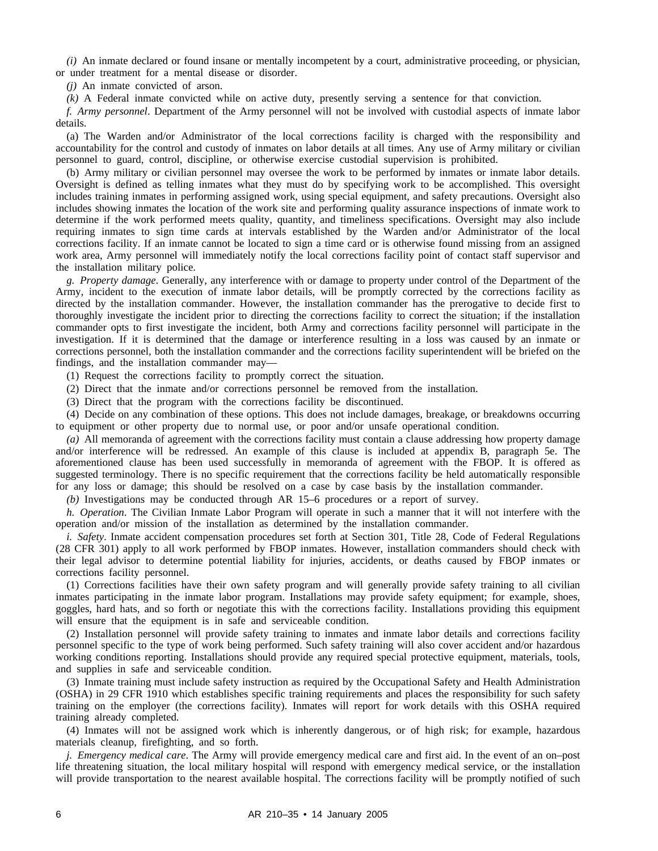*(i)* An inmate declared or found insane or mentally incompetent by a court, administrative proceeding, or physician, or under treatment for a mental disease or disorder.

*(j)* An inmate convicted of arson.

*(k)* A Federal inmate convicted while on active duty, presently serving a sentence for that conviction.

*f. Army personnel*. Department of the Army personnel will not be involved with custodial aspects of inmate labor details.

(a) The Warden and/or Administrator of the local corrections facility is charged with the responsibility and accountability for the control and custody of inmates on labor details at all times. Any use of Army military or civilian personnel to guard, control, discipline, or otherwise exercise custodial supervision is prohibited.

(b) Army military or civilian personnel may oversee the work to be performed by inmates or inmate labor details. Oversight is defined as telling inmates what they must do by specifying work to be accomplished. This oversight includes training inmates in performing assigned work, using special equipment, and safety precautions. Oversight also includes showing inmates the location of the work site and performing quality assurance inspections of inmate work to determine if the work performed meets quality, quantity, and timeliness specifications. Oversight may also include requiring inmates to sign time cards at intervals established by the Warden and/or Administrator of the local corrections facility. If an inmate cannot be located to sign a time card or is otherwise found missing from an assigned work area, Army personnel will immediately notify the local corrections facility point of contact staff supervisor and the installation military police.

*g. Property damage*. Generally, any interference with or damage to property under control of the Department of the Army, incident to the execution of inmate labor details, will be promptly corrected by the corrections facility as directed by the installation commander. However, the installation commander has the prerogative to decide first to thoroughly investigate the incident prior to directing the corrections facility to correct the situation; if the installation commander opts to first investigate the incident, both Army and corrections facility personnel will participate in the investigation. If it is determined that the damage or interference resulting in a loss was caused by an inmate or corrections personnel, both the installation commander and the corrections facility superintendent will be briefed on the findings, and the installation commander may—

(1) Request the corrections facility to promptly correct the situation.

- (2) Direct that the inmate and/or corrections personnel be removed from the installation.
- (3) Direct that the program with the corrections facility be discontinued.

(4) Decide on any combination of these options. This does not include damages, breakage, or breakdowns occurring to equipment or other property due to normal use, or poor and/or unsafe operational condition.

*(a)* All memoranda of agreement with the corrections facility must contain a clause addressing how property damage and/or interference will be redressed. An example of this clause is included at appendix B, paragraph 5e. The aforementioned clause has been used successfully in memoranda of agreement with the FBOP. It is offered as suggested terminology. There is no specific requirement that the corrections facility be held automatically responsible for any loss or damage; this should be resolved on a case by case basis by the installation commander.

*(b)* Investigations may be conducted through AR 15–6 procedures or a report of survey.

*h. Operation*. The Civilian Inmate Labor Program will operate in such a manner that it will not interfere with the operation and/or mission of the installation as determined by the installation commander.

*i. Safety*. Inmate accident compensation procedures set forth at Section 301, Title 28, Code of Federal Regulations (28 CFR 301) apply to all work performed by FBOP inmates. However, installation commanders should check with their legal advisor to determine potential liability for injuries, accidents, or deaths caused by FBOP inmates or corrections facility personnel.

(1) Corrections facilities have their own safety program and will generally provide safety training to all civilian inmates participating in the inmate labor program. Installations may provide safety equipment; for example, shoes, goggles, hard hats, and so forth or negotiate this with the corrections facility. Installations providing this equipment will ensure that the equipment is in safe and serviceable condition.

(2) Installation personnel will provide safety training to inmates and inmate labor details and corrections facility personnel specific to the type of work being performed. Such safety training will also cover accident and/or hazardous working conditions reporting. Installations should provide any required special protective equipment, materials, tools, and supplies in safe and serviceable condition.

(3) Inmate training must include safety instruction as required by the Occupational Safety and Health Administration (OSHA) in 29 CFR 1910 which establishes specific training requirements and places the responsibility for such safety training on the employer (the corrections facility). Inmates will report for work details with this OSHA required training already completed.

(4) Inmates will not be assigned work which is inherently dangerous, or of high risk; for example, hazardous materials cleanup, firefighting, and so forth.

*j. Emergency medical care*. The Army will provide emergency medical care and first aid. In the event of an on–post life threatening situation, the local military hospital will respond with emergency medical service, or the installation will provide transportation to the nearest available hospital. The corrections facility will be promptly notified of such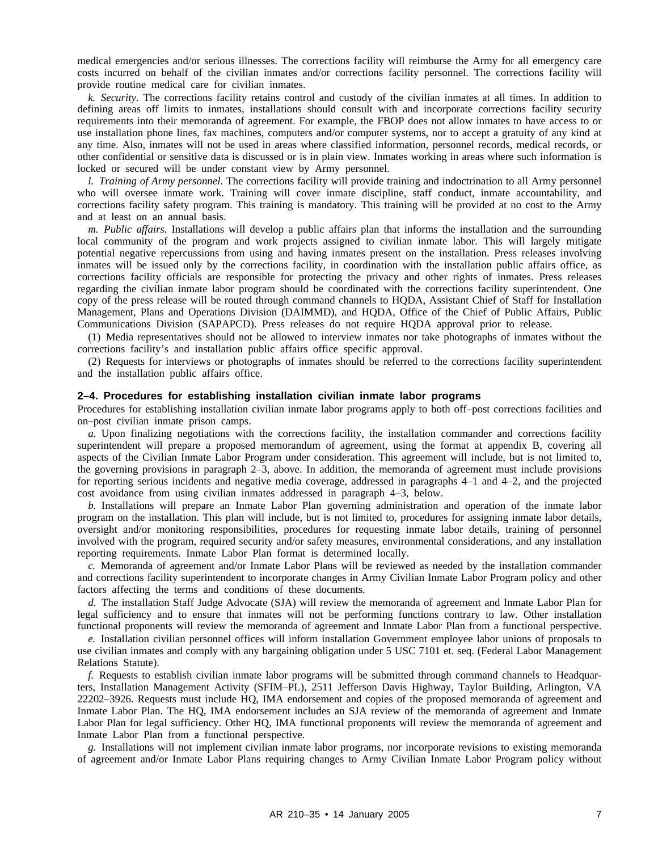medical emergencies and/or serious illnesses. The corrections facility will reimburse the Army for all emergency care costs incurred on behalf of the civilian inmates and/or corrections facility personnel. The corrections facility will provide routine medical care for civilian inmates.

*k. Security*. The corrections facility retains control and custody of the civilian inmates at all times. In addition to defining areas off limits to inmates, installations should consult with and incorporate corrections facility security requirements into their memoranda of agreement. For example, the FBOP does not allow inmates to have access to or use installation phone lines, fax machines, computers and/or computer systems, nor to accept a gratuity of any kind at any time. Also, inmates will not be used in areas where classified information, personnel records, medical records, or other confidential or sensitive data is discussed or is in plain view. Inmates working in areas where such information is locked or secured will be under constant view by Army personnel.

*l. Training of Army personnel*. The corrections facility will provide training and indoctrination to all Army personnel who will oversee inmate work. Training will cover inmate discipline, staff conduct, inmate accountability, and corrections facility safety program. This training is mandatory. This training will be provided at no cost to the Army and at least on an annual basis.

*m. Public affairs*. Installations will develop a public affairs plan that informs the installation and the surrounding local community of the program and work projects assigned to civilian inmate labor. This will largely mitigate potential negative repercussions from using and having inmates present on the installation. Press releases involving inmates will be issued only by the corrections facility, in coordination with the installation public affairs office, as corrections facility officials are responsible for protecting the privacy and other rights of inmates. Press releases regarding the civilian inmate labor program should be coordinated with the corrections facility superintendent. One copy of the press release will be routed through command channels to HQDA, Assistant Chief of Staff for Installation Management, Plans and Operations Division (DAIMMD), and HQDA, Office of the Chief of Public Affairs, Public Communications Division (SAPAPCD). Press releases do not require HQDA approval prior to release.

(1) Media representatives should not be allowed to interview inmates nor take photographs of inmates without the corrections facility's and installation public affairs office specific approval.

(2) Requests for interviews or photographs of inmates should be referred to the corrections facility superintendent and the installation public affairs office.

#### **2–4. Procedures for establishing installation civilian inmate labor programs**

Procedures for establishing installation civilian inmate labor programs apply to both off–post corrections facilities and on–post civilian inmate prison camps.

*a.* Upon finalizing negotiations with the corrections facility, the installation commander and corrections facility superintendent will prepare a proposed memorandum of agreement, using the format at appendix B, covering all aspects of the Civilian Inmate Labor Program under consideration. This agreement will include, but is not limited to, the governing provisions in paragraph 2–3, above. In addition, the memoranda of agreement must include provisions for reporting serious incidents and negative media coverage, addressed in paragraphs 4–1 and 4–2, and the projected cost avoidance from using civilian inmates addressed in paragraph 4–3, below.

*b.* Installations will prepare an Inmate Labor Plan governing administration and operation of the inmate labor program on the installation. This plan will include, but is not limited to, procedures for assigning inmate labor details, oversight and/or monitoring responsibilities, procedures for requesting inmate labor details, training of personnel involved with the program, required security and/or safety measures, environmental considerations, and any installation reporting requirements. Inmate Labor Plan format is determined locally.

*c.* Memoranda of agreement and/or Inmate Labor Plans will be reviewed as needed by the installation commander and corrections facility superintendent to incorporate changes in Army Civilian Inmate Labor Program policy and other factors affecting the terms and conditions of these documents.

*d.* The installation Staff Judge Advocate (SJA) will review the memoranda of agreement and Inmate Labor Plan for legal sufficiency and to ensure that inmates will not be performing functions contrary to law. Other installation functional proponents will review the memoranda of agreement and Inmate Labor Plan from a functional perspective.

*e.* Installation civilian personnel offices will inform installation Government employee labor unions of proposals to use civilian inmates and comply with any bargaining obligation under 5 USC 7101 et. seq. (Federal Labor Management Relations Statute).

*f.* Requests to establish civilian inmate labor programs will be submitted through command channels to Headquarters, Installation Management Activity (SFIM–PL), 2511 Jefferson Davis Highway, Taylor Building, Arlington, VA 22202–3926. Requests must include HQ, IMA endorsement and copies of the proposed memoranda of agreement and Inmate Labor Plan. The HQ, IMA endorsement includes an SJA review of the memoranda of agreement and Inmate Labor Plan for legal sufficiency. Other HQ, IMA functional proponents will review the memoranda of agreement and Inmate Labor Plan from a functional perspective.

*g.* Installations will not implement civilian inmate labor programs, nor incorporate revisions to existing memoranda of agreement and/or Inmate Labor Plans requiring changes to Army Civilian Inmate Labor Program policy without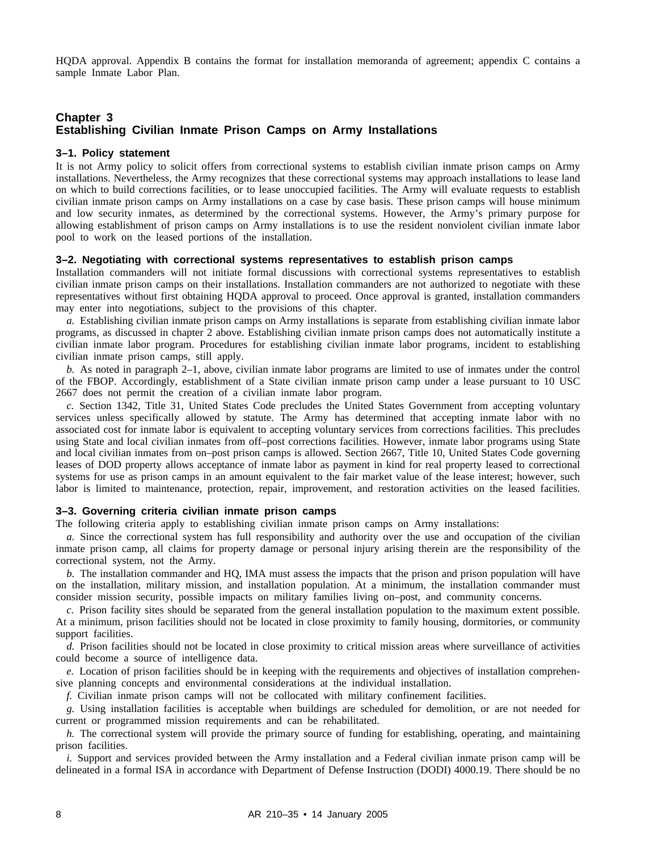HQDA approval. Appendix B contains the format for installation memoranda of agreement; appendix C contains a sample Inmate Labor Plan.

#### **Chapter 3 Establishing Civilian Inmate Prison Camps on Army Installations**

#### **3–1. Policy statement**

It is not Army policy to solicit offers from correctional systems to establish civilian inmate prison camps on Army installations. Nevertheless, the Army recognizes that these correctional systems may approach installations to lease land on which to build corrections facilities, or to lease unoccupied facilities. The Army will evaluate requests to establish civilian inmate prison camps on Army installations on a case by case basis. These prison camps will house minimum and low security inmates, as determined by the correctional systems. However, the Army's primary purpose for allowing establishment of prison camps on Army installations is to use the resident nonviolent civilian inmate labor pool to work on the leased portions of the installation.

#### **3–2. Negotiating with correctional systems representatives to establish prison camps**

Installation commanders will not initiate formal discussions with correctional systems representatives to establish civilian inmate prison camps on their installations. Installation commanders are not authorized to negotiate with these representatives without first obtaining HQDA approval to proceed. Once approval is granted, installation commanders may enter into negotiations, subject to the provisions of this chapter.

*a.* Establishing civilian inmate prison camps on Army installations is separate from establishing civilian inmate labor programs, as discussed in chapter 2 above. Establishing civilian inmate prison camps does not automatically institute a civilian inmate labor program. Procedures for establishing civilian inmate labor programs, incident to establishing civilian inmate prison camps, still apply.

*b.* As noted in paragraph 2–1, above, civilian inmate labor programs are limited to use of inmates under the control of the FBOP. Accordingly, establishment of a State civilian inmate prison camp under a lease pursuant to 10 USC 2667 does not permit the creation of a civilian inmate labor program.

*c.* Section 1342, Title 31, United States Code precludes the United States Government from accepting voluntary services unless specifically allowed by statute. The Army has determined that accepting inmate labor with no associated cost for inmate labor is equivalent to accepting voluntary services from corrections facilities. This precludes using State and local civilian inmates from off–post corrections facilities. However, inmate labor programs using State and local civilian inmates from on–post prison camps is allowed. Section 2667, Title 10, United States Code governing leases of DOD property allows acceptance of inmate labor as payment in kind for real property leased to correctional systems for use as prison camps in an amount equivalent to the fair market value of the lease interest; however, such labor is limited to maintenance, protection, repair, improvement, and restoration activities on the leased facilities.

#### **3–3. Governing criteria civilian inmate prison camps**

The following criteria apply to establishing civilian inmate prison camps on Army installations:

*a.* Since the correctional system has full responsibility and authority over the use and occupation of the civilian inmate prison camp, all claims for property damage or personal injury arising therein are the responsibility of the correctional system, not the Army.

*b.* The installation commander and HQ, IMA must assess the impacts that the prison and prison population will have on the installation, military mission, and installation population. At a minimum, the installation commander must consider mission security, possible impacts on military families living on–post, and community concerns.

*c.* Prison facility sites should be separated from the general installation population to the maximum extent possible. At a minimum, prison facilities should not be located in close proximity to family housing, dormitories, or community support facilities.

*d.* Prison facilities should not be located in close proximity to critical mission areas where surveillance of activities could become a source of intelligence data.

*e.* Location of prison facilities should be in keeping with the requirements and objectives of installation comprehensive planning concepts and environmental considerations at the individual installation.

*f.* Civilian inmate prison camps will not be collocated with military confinement facilities.

*g.* Using installation facilities is acceptable when buildings are scheduled for demolition, or are not needed for current or programmed mission requirements and can be rehabilitated.

*h*. The correctional system will provide the primary source of funding for establishing, operating, and maintaining prison facilities.

*i.* Support and services provided between the Army installation and a Federal civilian inmate prison camp will be delineated in a formal ISA in accordance with Department of Defense Instruction (DODI) 4000.19. There should be no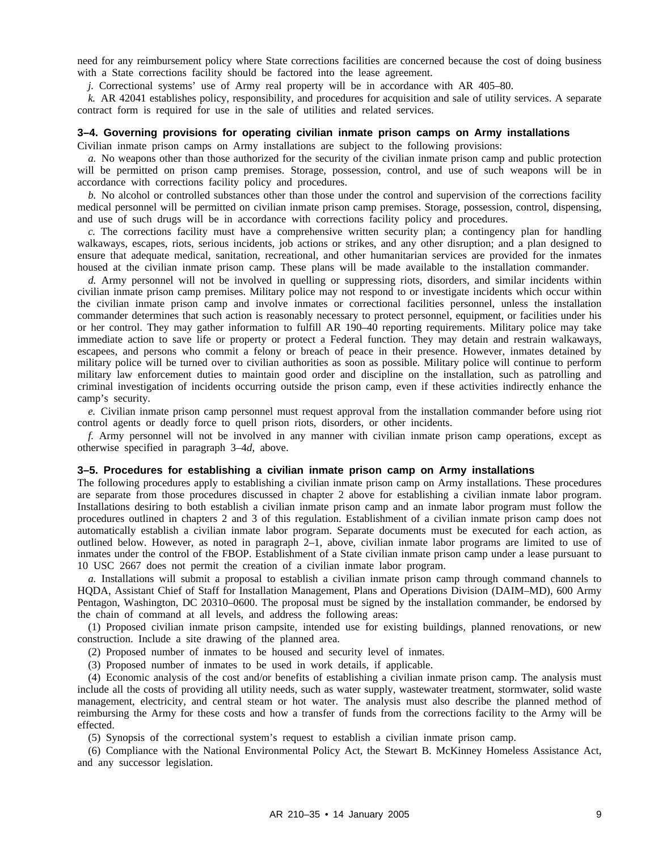need for any reimbursement policy where State corrections facilities are concerned because the cost of doing business with a State corrections facility should be factored into the lease agreement.

*j.* Correctional systems' use of Army real property will be in accordance with AR 405–80.

*k.* AR 42041 establishes policy, responsibility, and procedures for acquisition and sale of utility services. A separate contract form is required for use in the sale of utilities and related services.

#### **3–4. Governing provisions for operating civilian inmate prison camps on Army installations**

Civilian inmate prison camps on Army installations are subject to the following provisions:

*a.* No weapons other than those authorized for the security of the civilian inmate prison camp and public protection will be permitted on prison camp premises. Storage, possession, control, and use of such weapons will be in accordance with corrections facility policy and procedures.

*b.* No alcohol or controlled substances other than those under the control and supervision of the corrections facility medical personnel will be permitted on civilian inmate prison camp premises. Storage, possession, control, dispensing, and use of such drugs will be in accordance with corrections facility policy and procedures.

*c.* The corrections facility must have a comprehensive written security plan; a contingency plan for handling walkaways, escapes, riots, serious incidents, job actions or strikes, and any other disruption; and a plan designed to ensure that adequate medical, sanitation, recreational, and other humanitarian services are provided for the inmates housed at the civilian inmate prison camp. These plans will be made available to the installation commander.

*d.* Army personnel will not be involved in quelling or suppressing riots, disorders, and similar incidents within civilian inmate prison camp premises. Military police may not respond to or investigate incidents which occur within the civilian inmate prison camp and involve inmates or correctional facilities personnel, unless the installation commander determines that such action is reasonably necessary to protect personnel, equipment, or facilities under his or her control. They may gather information to fulfill AR 190–40 reporting requirements. Military police may take immediate action to save life or property or protect a Federal function. They may detain and restrain walkaways, escapees, and persons who commit a felony or breach of peace in their presence. However, inmates detained by military police will be turned over to civilian authorities as soon as possible. Military police will continue to perform military law enforcement duties to maintain good order and discipline on the installation, such as patrolling and criminal investigation of incidents occurring outside the prison camp, even if these activities indirectly enhance the camp's security.

*e.* Civilian inmate prison camp personnel must request approval from the installation commander before using riot control agents or deadly force to quell prison riots, disorders, or other incidents.

*f.* Army personnel will not be involved in any manner with civilian inmate prison camp operations, except as otherwise specified in paragraph 3–4*d*, above.

#### **3–5. Procedures for establishing a civilian inmate prison camp on Army installations**

The following procedures apply to establishing a civilian inmate prison camp on Army installations. These procedures are separate from those procedures discussed in chapter 2 above for establishing a civilian inmate labor program. Installations desiring to both establish a civilian inmate prison camp and an inmate labor program must follow the procedures outlined in chapters 2 and 3 of this regulation. Establishment of a civilian inmate prison camp does not automatically establish a civilian inmate labor program. Separate documents must be executed for each action, as outlined below. However, as noted in paragraph 2–1, above, civilian inmate labor programs are limited to use of inmates under the control of the FBOP. Establishment of a State civilian inmate prison camp under a lease pursuant to 10 USC 2667 does not permit the creation of a civilian inmate labor program.

*a.* Installations will submit a proposal to establish a civilian inmate prison camp through command channels to HQDA, Assistant Chief of Staff for Installation Management, Plans and Operations Division (DAIM–MD), 600 Army Pentagon, Washington, DC 20310–0600. The proposal must be signed by the installation commander, be endorsed by the chain of command at all levels, and address the following areas:

(1) Proposed civilian inmate prison campsite, intended use for existing buildings, planned renovations, or new construction. Include a site drawing of the planned area.

(2) Proposed number of inmates to be housed and security level of inmates.

(3) Proposed number of inmates to be used in work details, if applicable.

(4) Economic analysis of the cost and/or benefits of establishing a civilian inmate prison camp. The analysis must include all the costs of providing all utility needs, such as water supply, wastewater treatment, stormwater, solid waste management, electricity, and central steam or hot water. The analysis must also describe the planned method of reimbursing the Army for these costs and how a transfer of funds from the corrections facility to the Army will be effected.

(5) Synopsis of the correctional system's request to establish a civilian inmate prison camp.

(6) Compliance with the National Environmental Policy Act, the Stewart B. McKinney Homeless Assistance Act, and any successor legislation.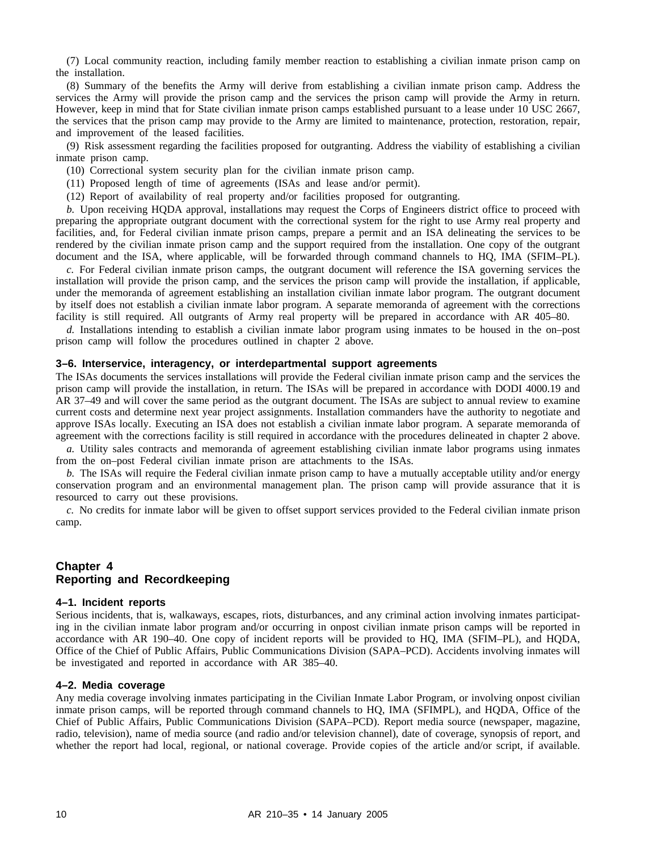(7) Local community reaction, including family member reaction to establishing a civilian inmate prison camp on the installation.

(8) Summary of the benefits the Army will derive from establishing a civilian inmate prison camp. Address the services the Army will provide the prison camp and the services the prison camp will provide the Army in return. However, keep in mind that for State civilian inmate prison camps established pursuant to a lease under 10 USC 2667, the services that the prison camp may provide to the Army are limited to maintenance, protection, restoration, repair, and improvement of the leased facilities.

(9) Risk assessment regarding the facilities proposed for outgranting. Address the viability of establishing a civilian inmate prison camp.

(10) Correctional system security plan for the civilian inmate prison camp.

- (11) Proposed length of time of agreements (ISAs and lease and/or permit).
- (12) Report of availability of real property and/or facilities proposed for outgranting.

*b.* Upon receiving HQDA approval, installations may request the Corps of Engineers district office to proceed with preparing the appropriate outgrant document with the correctional system for the right to use Army real property and facilities, and, for Federal civilian inmate prison camps, prepare a permit and an ISA delineating the services to be rendered by the civilian inmate prison camp and the support required from the installation. One copy of the outgrant document and the ISA, where applicable, will be forwarded through command channels to HQ, IMA (SFIM–PL).

*c.* For Federal civilian inmate prison camps, the outgrant document will reference the ISA governing services the installation will provide the prison camp, and the services the prison camp will provide the installation, if applicable, under the memoranda of agreement establishing an installation civilian inmate labor program. The outgrant document by itself does not establish a civilian inmate labor program. A separate memoranda of agreement with the corrections facility is still required. All outgrants of Army real property will be prepared in accordance with AR 405–80.

*d.* Installations intending to establish a civilian inmate labor program using inmates to be housed in the on–post prison camp will follow the procedures outlined in chapter 2 above.

#### **3–6. Interservice, interagency, or interdepartmental support agreements**

The ISAs documents the services installations will provide the Federal civilian inmate prison camp and the services the prison camp will provide the installation, in return. The ISAs will be prepared in accordance with DODI 4000.19 and AR 37–49 and will cover the same period as the outgrant document. The ISAs are subject to annual review to examine current costs and determine next year project assignments. Installation commanders have the authority to negotiate and approve ISAs locally. Executing an ISA does not establish a civilian inmate labor program. A separate memoranda of agreement with the corrections facility is still required in accordance with the procedures delineated in chapter 2 above.

*a.* Utility sales contracts and memoranda of agreement establishing civilian inmate labor programs using inmates from the on–post Federal civilian inmate prison are attachments to the ISAs.

*b.* The ISAs will require the Federal civilian inmate prison camp to have a mutually acceptable utility and/or energy conservation program and an environmental management plan. The prison camp will provide assurance that it is resourced to carry out these provisions.

*c.* No credits for inmate labor will be given to offset support services provided to the Federal civilian inmate prison camp.

#### **Chapter 4 Reporting and Recordkeeping**

#### **4–1. Incident reports**

Serious incidents, that is, walkaways, escapes, riots, disturbances, and any criminal action involving inmates participating in the civilian inmate labor program and/or occurring in onpost civilian inmate prison camps will be reported in accordance with AR 190–40. One copy of incident reports will be provided to HQ, IMA (SFIM–PL), and HQDA, Office of the Chief of Public Affairs, Public Communications Division (SAPA–PCD). Accidents involving inmates will be investigated and reported in accordance with AR 385–40.

#### **4–2. Media coverage**

Any media coverage involving inmates participating in the Civilian Inmate Labor Program, or involving onpost civilian inmate prison camps, will be reported through command channels to HQ, IMA (SFIMPL), and HQDA, Office of the Chief of Public Affairs, Public Communications Division (SAPA–PCD). Report media source (newspaper, magazine, radio, television), name of media source (and radio and/or television channel), date of coverage, synopsis of report, and whether the report had local, regional, or national coverage. Provide copies of the article and/or script, if available.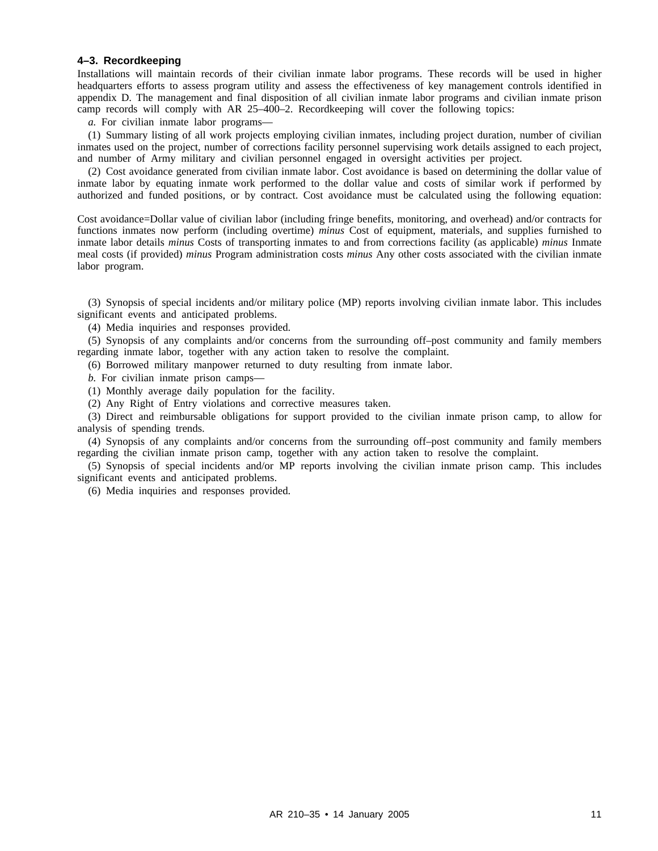#### **4–3. Recordkeeping**

Installations will maintain records of their civilian inmate labor programs. These records will be used in higher headquarters efforts to assess program utility and assess the effectiveness of key management controls identified in appendix D. The management and final disposition of all civilian inmate labor programs and civilian inmate prison camp records will comply with AR 25–400–2. Recordkeeping will cover the following topics:

*a.* For civilian inmate labor programs—

(1) Summary listing of all work projects employing civilian inmates, including project duration, number of civilian inmates used on the project, number of corrections facility personnel supervising work details assigned to each project, and number of Army military and civilian personnel engaged in oversight activities per project.

(2) Cost avoidance generated from civilian inmate labor. Cost avoidance is based on determining the dollar value of inmate labor by equating inmate work performed to the dollar value and costs of similar work if performed by authorized and funded positions, or by contract. Cost avoidance must be calculated using the following equation:

Cost avoidance=Dollar value of civilian labor (including fringe benefits, monitoring, and overhead) and/or contracts for functions inmates now perform (including overtime) *minus* Cost of equipment, materials, and supplies furnished to inmate labor details *minus* Costs of transporting inmates to and from corrections facility (as applicable) *minus* Inmate meal costs (if provided) *minus* Program administration costs *minus* Any other costs associated with the civilian inmate labor program.

(3) Synopsis of special incidents and/or military police (MP) reports involving civilian inmate labor. This includes significant events and anticipated problems.

(4) Media inquiries and responses provided.

(5) Synopsis of any complaints and/or concerns from the surrounding off–post community and family members regarding inmate labor, together with any action taken to resolve the complaint.

(6) Borrowed military manpower returned to duty resulting from inmate labor.

*b.* For civilian inmate prison camps—

(1) Monthly average daily population for the facility.

(2) Any Right of Entry violations and corrective measures taken.

(3) Direct and reimbursable obligations for support provided to the civilian inmate prison camp, to allow for analysis of spending trends.

(4) Synopsis of any complaints and/or concerns from the surrounding off–post community and family members regarding the civilian inmate prison camp, together with any action taken to resolve the complaint.

(5) Synopsis of special incidents and/or MP reports involving the civilian inmate prison camp. This includes significant events and anticipated problems.

(6) Media inquiries and responses provided.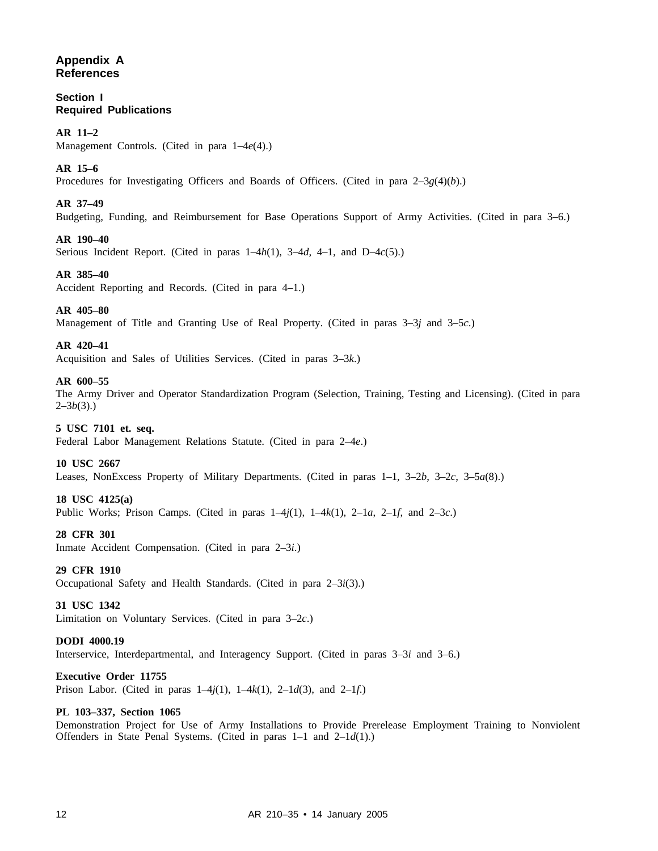#### **Appendix A References**

**Section I Required Publications**

#### **AR 11–2**

Management Controls. (Cited in para 1–4*e*(4).)

#### **AR 15–6**

Procedures for Investigating Officers and Boards of Officers. (Cited in para 2–3*g*(4)(*b*).)

#### **AR 37–49**

Budgeting, Funding, and Reimbursement for Base Operations Support of Army Activities. (Cited in para 3–6.)

#### **AR 190–40**

Serious Incident Report. (Cited in paras  $1-4h(1)$ ,  $3-4d$ ,  $4-1$ , and  $D-4c(5)$ .)

#### **AR 385–40**

Accident Reporting and Records. (Cited in para 4–1.)

#### **AR 405–80**

Management of Title and Granting Use of Real Property. (Cited in paras 3–3*j* and 3–5*c*.)

#### **AR 420–41**

Acquisition and Sales of Utilities Services. (Cited in paras 3–3*k*.)

#### **AR 600–55**

The Army Driver and Operator Standardization Program (Selection, Training, Testing and Licensing). (Cited in para  $2-3b(3)$ .)

#### **5 USC 7101 et. seq.**

Federal Labor Management Relations Statute. (Cited in para 2–4*e*.)

#### **10 USC 2667**

Leases, NonExcess Property of Military Departments. (Cited in paras 1–1, 3–2*b*, 3–2*c*, 3–5*a*(8).)

#### **18 USC 4125(a)**

Public Works; Prison Camps. (Cited in paras 1–4*j*(1), 1–4*k*(1), 2–1*a*, 2–1*f*, and 2–3*c*.)

#### **28 CFR 301**

Inmate Accident Compensation. (Cited in para 2–3*i*.)

#### **29 CFR 1910**

Occupational Safety and Health Standards. (Cited in para 2–3*i*(3).)

#### **31 USC 1342**

Limitation on Voluntary Services. (Cited in para 3–2*c*.)

#### **DODI 4000.19**

Interservice, Interdepartmental, and Interagency Support. (Cited in paras 3–3*i* and 3–6.)

#### **Executive Order 11755**

Prison Labor. (Cited in paras 1–4*j*(1), 1–4*k*(1), 2–1*d*(3), and 2–1*f*.)

#### **PL 103–337, Section 1065**

Demonstration Project for Use of Army Installations to Provide Prerelease Employment Training to Nonviolent Offenders in State Penal Systems. (Cited in paras 1–1 and 2–1*d*(1).)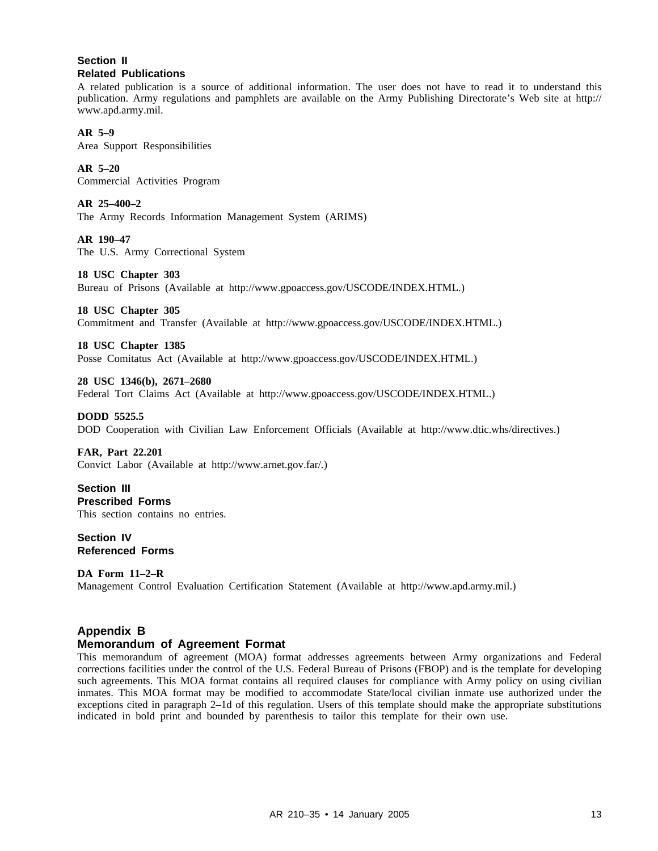#### **Section II Related Publications**

A related publication is a source of additional information. The user does not have to read it to understand this publication. Army regulations and pamphlets are available on the Army Publishing Directorate's Web site at http:// www.apd.army.mil.

#### **AR 5–9**

Area Support Responsibilities

#### **AR 5–20**

Commercial Activities Program

#### **AR 25–400–2**

The Army Records Information Management System (ARIMS)

#### **AR 190–47**

The U.S. Army Correctional System

#### **18 USC Chapter 303**

Bureau of Prisons (Available at http://www.gpoaccess.gov/USCODE/INDEX.HTML.)

#### **18 USC Chapter 305**

Commitment and Transfer (Available at http://www.gpoaccess.gov/USCODE/INDEX.HTML.)

#### **18 USC Chapter 1385**

Posse Comitatus Act (Available at http://www.gpoaccess.gov/USCODE/INDEX.HTML.)

#### **28 USC 1346(b), 2671–2680**

Federal Tort Claims Act (Available at http://www.gpoaccess.gov/USCODE/INDEX.HTML.)

#### **DODD 5525.5**

DOD Cooperation with Civilian Law Enforcement Officials (Available at http://www.dtic.whs/directives.)

#### **FAR, Part 22.201**

Convict Labor (Available at http://www.arnet.gov.far/.)

#### **Section III Prescribed Forms**

This section contains no entries.

**Section IV Referenced Forms**

#### **DA Form 11–2–R** Management Control Evaluation Certification Statement (Available at http://www.apd.army.mil.)

#### **Appendix B Memorandum of Agreement Format**

This memorandum of agreement (MOA) format addresses agreements between Army organizations and Federal corrections facilities under the control of the U.S. Federal Bureau of Prisons (FBOP) and is the template for developing such agreements. This MOA format contains all required clauses for compliance with Army policy on using civilian inmates. This MOA format may be modified to accommodate State/local civilian inmate use authorized under the exceptions cited in paragraph 2–1d of this regulation. Users of this template should make the appropriate substitutions indicated in bold print and bounded by parenthesis to tailor this template for their own use.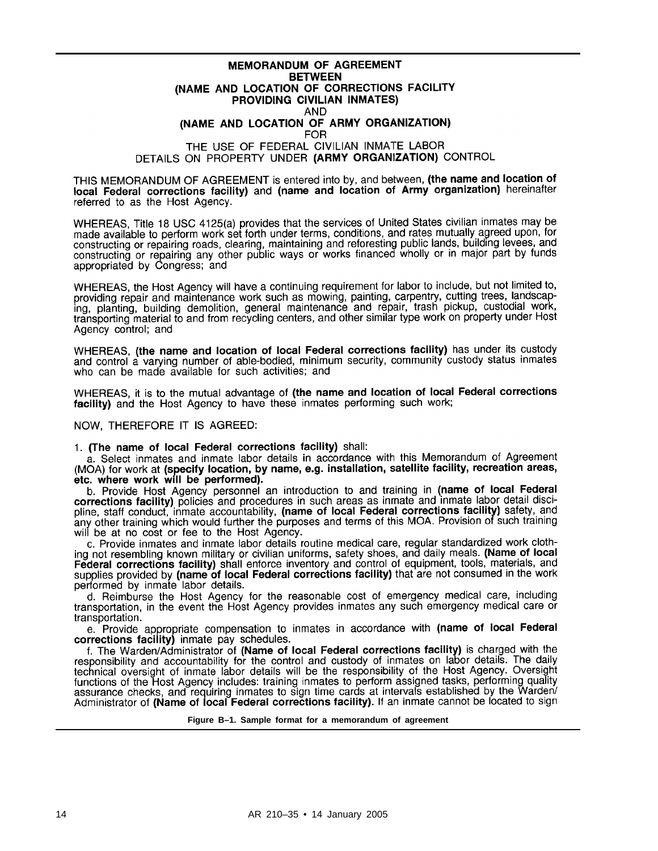#### **MEMORANDUM OF AGREEMENT BETWEEN** (NAME AND LOCATION OF CORRECTIONS FACILITY PROVIDING CIVILIAN INMATES) **AND** (NAME AND LOCATION OF ARMY ORGANIZATION) **FOR** THE USE OF FEDERAL CIVILIAN INMATE LABOR

#### DETAILS ON PROPERTY UNDER (ARMY ORGANIZATION) CONTROL

THIS MEMORANDUM OF AGREEMENT is entered into by, and between, (the name and location of local Federal corrections facility) and (name and location of Army organization) hereinafter referred to as the Host Agency.

WHEREAS, Title 18 USC 4125(a) provides that the services of United States civilian inmates may be made available to perform work set forth under terms, conditions, and rates mutually agreed upon, for constructing or repairing roads, clearing, maintaining and reforesting public lands, building levees, and constructing or repairing any other public ways or works financed wholly or in major part by funds appropriated by Congress; and

WHEREAS, the Host Agency will have a continuing requirement for labor to include, but not limited to, providing repair and maintenance work such as mowing, painting, carpentry, cutting trees, landscaping, planting, building demolition, general maintenance and repair, trash pickup, custodial work, transporting material to and from recycling centers, and other similar type work on property under Host Agency control; and

WHEREAS, (the name and location of local Federal corrections facility) has under its custody and control a varying number of able-bodied, minimum security, community custody status inmates who can be made available for such activities; and

WHEREAS, it is to the mutual advantage of (the name and location of local Federal corrections facility) and the Host Agency to have these inmates performing such work;

NOW, THEREFORE IT IS AGREED:

1. (The name of local Federal corrections facility) shall:

a. Select inmates and inmate labor details in accordance with this Memorandum of Agreement (MOA) for work at (specify location, by name, e.g. installation, satellite facility, recreation areas, etc. where work will be performed).

b. Provide Host Agency personnel an introduction to and training in (name of local Federal corrections facility) policies and procedures in such areas as inmate and inmate labor detail discipline, staff conduct, inmate accountability, (name of local Federal corrections facility) safety, and any other training which would further the purposes and terms of this MOA. Provision of such training will be at no cost or fee to the Host Agency.

c. Provide inmates and inmate labor details routine medical care, regular standardized work clothing not resembling known military or civilian uniforms, safety shoes, and daily meals. (Name of local Federal corrections facility) shall enforce inventory and control of equipment, tools, materials, and supplies provided by (name of local Federal corrections facility) that are not consumed in the work performed by inmate labor details.

d. Reimburse the Host Agency for the reasonable cost of emergency medical care, including transportation, in the event the Host Agency provides inmates any such emergency medical care or transportation.

e. Provide appropriate compensation to inmates in accordance with (name of local Federal corrections facility) inmate pay schedules.

f. The Warden/Administrator of (Name of local Federal corrections facility) is charged with the responsibility and accountability for the control and custody of inmates on labor details. The daily technical oversight of inmate labor details will be the responsibility of the Host Agency. Oversight functions of the Host Agency includes: training inmates to perform assigned tasks, performing quality<br>assurance checks, and requiring inmates to sign time cards at intervals established by the Warden/<br>Administrator of (Nam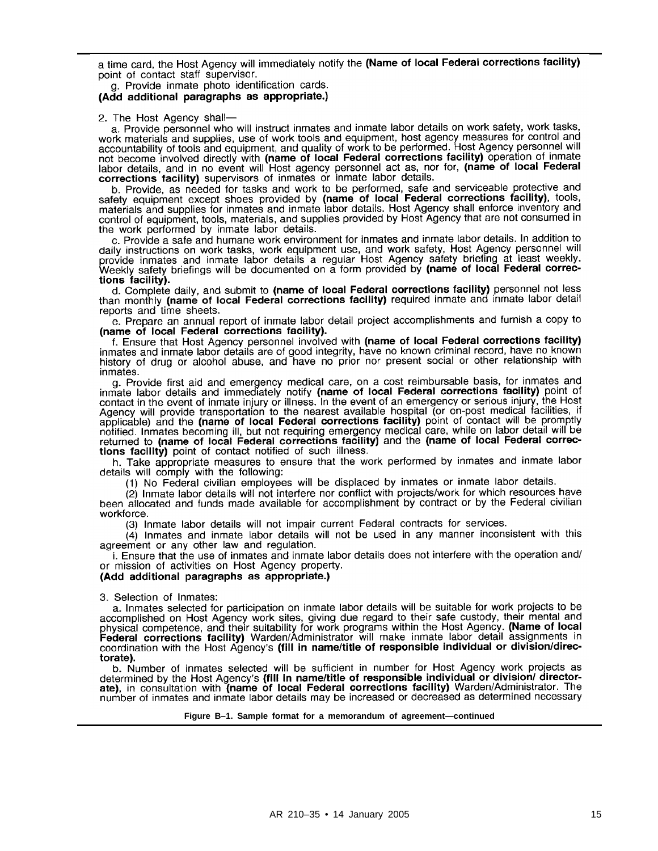a time card, the Host Agency will immediately notify the (Name of local Federal corrections facility) point of contact staff supervisor.

#### g. Provide inmate photo identification cards. (Add additional paragraphs as appropriate.)

2. The Host Agency shall-

a. Provide personnel who will instruct inmates and inmate labor details on work safety, work tasks, work materials and supplies, use of work tools and equipment, host agency measures for control and accountability of tools and equipment, and quality of work to be performed. Host Agency personnel will<br>not become involved directly with (name of local Federal corrections facility) operation of inmate<br>labor details, and i

b. Provide, as needed for tasks and work to be performed, safe and serviceable protective and safety equipment except shoes provided by (name of local Federal corrections facility), tools, materials and supplies for inmate control of equipment, tools, materials, and supplies provided by Host Agency that are not consumed in the work performed by inmate labor details.

c. Provide a safe and humane work environment for inmates and inmate labor details. In addition to daily instructions on work tasks, work equipment use, and work safety, Host Agency personnel will<br>provide inmates and inmate labor details a regular Host Agency safety briefing at least weekly.<br>Weekly safety briefings will tions facility).

d. Complete daily, and submit to (name of local Federal corrections facility) personnel not less than monthly (name of local Federal corrections facility) required inmate and inmate labor detail reports and time sheets.

e. Prepare an annual report of inmate labor detail project accomplishments and furnish a copy to (name of local Federal corrections facility).

f. Ensure that Host Agency personnel involved with (name of local Federal corrections facility) inmates and inmate labor details are of good integrity, have no known criminal record, have no known history of drug or alcohol abuse, and have no prior nor present social or other relationship with inmates.

g. Provide first aid and emergency medical care, on a cost reimbursable basis, for inmates and inmate labor details and immediately notify (name of local Federal corrections facility) point of contact in the event of inmate injury or illness. In the event of an emergency or serious injury, the Host Agency will provide transportation to the nearest available hospital (or on-post medical facilities, if applicable) and the (name of local Federal corrections facility) point of contact will be promptly<br>notified. Inmates becoming ill, but not requiring emergency medical care, while on labor detail will be<br>returned to (name o tions facility) point of contact notified of such illness.

h. Take appropriate measures to ensure that the work performed by inmates and inmate labor details will comply with the following:

(1) No Federal civilian employees will be displaced by inmates or inmate labor details.

(2) Inmate labor details will not interfere nor conflict with projects/work for which resources have been allocated and funds made available for accomplishment by contract or by the Federal civilian workforce.

(3) Inmate labor details will not impair current Federal contracts for services.

(4) Inmates and inmate labor details will not be used in any manner inconsistent with this agreement or any other law and regulation.

i. Ensure that the use of inmates and inmate labor details does not interfere with the operation and/ or mission of activities on Host Agency property.

#### (Add additional paragraphs as appropriate.)

3. Selection of Inmates:

a. Inmates selected for participation on inmate labor details will be suitable for work projects to be accomplished on Host Agency work sites, giving due regard to their safe custody, their mental and<br>physical competence, and their suitability for work programs within the Host Agency. (Name of local Federal corrections facility) Warden/Administrator will make inmate labor detail assignments in coordination with the Host Agency's (fill in name/title of responsible individual or division/directorate).

b. Number of inmates selected will be sufficient in number for Host Agency work projects as determined by the Host Agency's (fill in name/title of responsible individual or division/ directorate), in consultation with (name of local Federal corrections facility) Warden/Administrator. The number of inmates and inmate labor details may be increased or decreased as determined necessary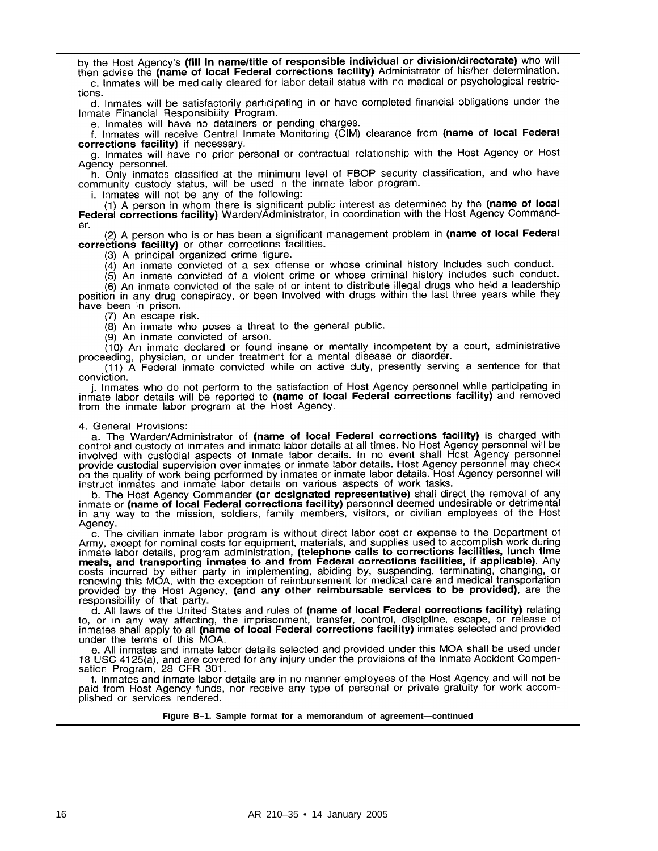by the Host Agency's (fill in name/title of responsible individual or division/directorate) who will then advise the (name of local Federal corrections facility) Administrator of his/her determination. c. Inmates will be medically cleared for labor detail status with no medical or psychological restric-

tions. d. Inmates will be satisfactorily participating in or have completed financial obligations under the Inmate Financial Responsibility Program.

e. Inmates will have no detainers or pending charges.

f. Inmates will receive Central Inmate Monitoring (CIM) clearance from (name of local Federal corrections facility) if necessary.

g. Inmates will have no prior personal or contractual relationship with the Host Agency or Host Agency personnel.

h. Only inmates classified at the minimum level of FBOP security classification, and who have community custody status, will be used in the inmate labor program.

i. Inmates will not be any of the following:

(1) A person in whom there is significant public interest as determined by the (name of local Federal corrections facility) Warden/Administrator, in coordination with the Host Agency Commander.

(2) A person who is or has been a significant management problem in (name of local Federal corrections facility) or other corrections facilities.

(3) A principal organized crime figure.

(4) An inmate convicted of a sex offense or whose criminal history includes such conduct.

(5) An inmate convicted of a violent crime or whose criminal history includes such conduct.

(6) An inmate convicted of the sale of or intent to distribute illegal drugs who held a leadership position in any drug conspiracy, or been involved with drugs within the last three years while they have been in prison.

(7) An escape risk.

(8) An inmate who poses a threat to the general public.

(9) An inmate convicted of arson.

(10) An inmate declared or found insane or mentally incompetent by a court, administrative proceeding, physician, or under treatment for a mental disease or disorder.

(11) A Federal inmate convicted while on active duty, presently serving a sentence for that conviction.

j. Inmates who do not perform to the satisfaction of Host Agency personnel while participating in inmate labor details will be reported to (name of local Federal corrections facility) and removed<br>from the inmate labor program at the Host Agency.

#### 4. General Provisions:

a. The Warden/Administrator of (name of local Federal corrections facility) is charged with control and custody of inmates and inmate labor details at all times. No Host Agency personnel will be involved with custodial aspects of inmate rabor details. In no event shall Host Agency personnel provide custodial supervision over inmates or inmate labor details. Host Agency personnel may check on the quality of work be instruct inmates and inmate labor details on various aspects of work tasks.

b. The Host Agency Commander (or designated representative) shall direct the removal of any inmate or (name of local Federal corrections facility) personnel deemed undesirable or detrimental in any way to the mission, soldiers, family members, visitors, or civilian employees of the Host Agency.

Agency.<br>
C. The civilian inmate labor program is without direct labor cost or expense to the Department of<br>
C. The civilian inmate labor program administration, materials, and supplies used to accomplish work during<br>
inmat provided by the Host Agency, (and any other reimbursable services to be provided), are the responsibility of that party.

d. All laws of the United States and rules of (name of local Federal corrections facility) relating to, or in any way affecting, the imprisonment, transfer, control, discipline, escape, or release of inmates shall apply to all (name of local Federal corrections facility) inmates selected and provided under the terms of this MOA.

e. All inmates and inmate labor details selected and provided under this MOA shall be used under 18 USC 4125(a), and are covered for any injury under the provisions of the Inmate Accident Compensation Program, 28 CFR 301.

f. Inmates and inmate labor details are in no manner employees of the Host Agency and will not be paid from Host Agency funds, nor receive any type of personal or private gratuity for work accomplished or services rendered.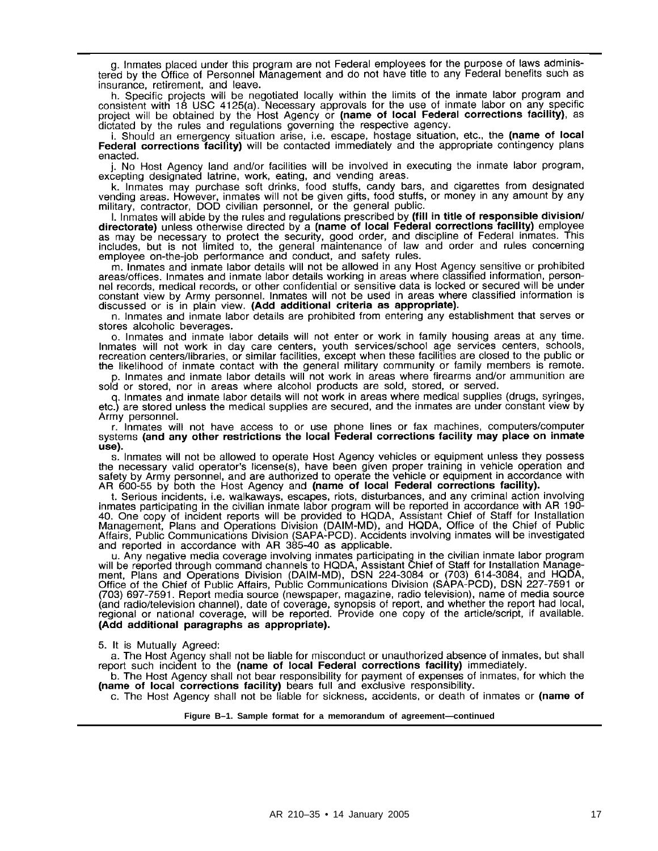g. Inmates placed under this program are not Federal employees for the purpose of laws administered by the Office of Personnel Management and do not have title to any Federal benefits such as insurance, retirement, and leave.

h. Specific projects will be negotiated locally within the limits of the inmate labor program and<br>consistent with 18 USC 4125(a). Necessary approvals for the use of inmate labor on any specific<br>project will be obtained by dictated by the rules and regulations governing the respective agency.

i. Should an emergency situation arise, i.e. escape, hostage situation, etc., the (name of local Federal corrections facility) will be contacted immediately and the appropriate contingency plans enacted.

j. No Host Agency land and/or facilities will be involved in executing the inmate labor program, excepting designated latrine, work, eating, and vending areas.

k. Inmates may purchase soft drinks, food stuffs, candy bars, and cigarettes from designated vending areas. However, inmates will not be given gifts, food stuffs, or money in any amount by any military, contractor, DOD civilian personnel, or the general public.

I. Inmates will abide by the rules and regulations prescribed by (fill in title of responsible division/ directorate) unless otherwise directed by a (name of local Federal corrections facility) employee as may be necessary to protect the security, good order, and discipline of Federal inmates. This includes, but is not limited to, the general maintenance of law and order and rules concerning employee on-the-job performance and conduct, and safety rules.

m. Inmates and inmate labor details will not be allowed in any Host Agency sensitive or prohibited areas/offices. Inmates and inmate labor details working in areas where classified information, personnel records, medical records, or other confidential or sensitive data is locked or secured will be under constant view by Army personnel. Inmates will not be used in areas where classified information is discussed or is in plain view. (Add additional criteria as appropriate).

n. Inmates and inmate labor details are prohibited from entering any establishment that serves or stores alcoholic beverages.

o. Inmates and inmate labor details will not enter or work in family housing areas at any time. Inmates will not work in day care centers, youth services/school age services centers, schools, recreation centers/libraries, or similar facilities, except when these facilities are closed to the public or the likelihood of inmate contact with the general military community or family members is remote. p. Inmates and inmate labor details will not work in areas where firearms and/or ammunition are

sold or stored, nor in areas where alcohol products are sold, stored, or served.

q. Inmates and inmate labor details will not work in areas where medical supplies (drugs, syringes, etc.) are stored unless the medical supplies are secured, and the inmates are under constant view by Army personnel.

r. Inmates will not have access to or use phone lines or fax machines, computers/computer systems (and any other restrictions the local Federal corrections facility may place on inmate use).

s. Inmates will not be allowed to operate Host Agency vehicles or equipment unless they possess the necessary valid operator's license(s), have been given proper training in vehicle operation and safety by Army personnel, and are authorized to operate the vehicle or equipment in accordance with<br>AR 600-55 by both the Host Agency and (name of local Federal corrections facility).

t. Serious incidents, i.e. walkaways, escapes, riots, disturbances, and any criminal action involving inmates participating in the civilian inmate labor program will be reported in accordance with AR 190-40. One copy of incident reports will be provided to HQDA, Assistant Chief of Staff for Installation Management, Plans and Operations Division (DAIM-MD), and HQDA, Office of the Chief of Public Affairs, Public Communications Division (SAPA-PCD). Accidents involving inmates will be investigated and reported in accordance with AR 385-40 as applicable.

u. Any negative media coverage involving inmates participating in the civilian inmate labor program<br>will be reported through command channels to HQDA, Assistant Chief of Staff for Installation Manage-<br>ment, Plans and Opera (and radio/television channel), date of coverage, synopsis of report, and whether the report had local, regional or national coverage, will be reported. Provide one copy of the article/script, if available. (Add additional paragraphs as appropriate).

#### 5. It is Mutually Agreed:

a. The Host Agency shall not be liable for misconduct or unauthorized absence of inmates, but shall report such incident to the (name of local Federal corrections facility) immediately.

b. The Host Agency shall not bear responsibility for payment of expenses of inmates, for which the (name of local corrections facility) bears full and exclusive responsibility.

c. The Host Agency shall not be liable for sickness, accidents, or death of inmates or (name of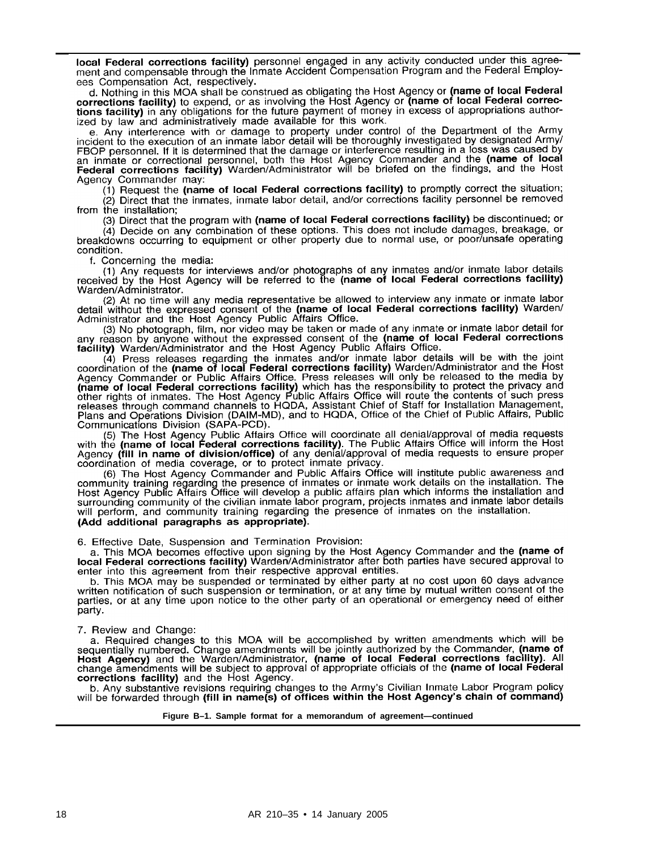local Federal corrections facility) personnel engaged in any activity conducted under this agreement and compensable through the Inmate Accident Compensation Program and the Federal Employees Compensation Act, respectively.

d. Nothing in this MOA shall be construed as obligating the Host Agency or (name of local Federal<br>corrections facility) to expend, or as involving the Host Agency or (name of local Federal corrections facility) in any obli ized by law and administratively made available for this work.

e. Any interference with or damage to property under control of the Department of the Army incident to the execution of an inmate labor detail will be thoroughly investigated by designated Army/ FBOP personnel. If it is determined that the damage or interference resulting in a loss was caused by an inmate or correctional personnel, both the Host Agency Commander and the (name of local<br>Federal corrections facility) Warden/Administrator will be briefed on the findings, and the Host Agency Commander may:

(1) Request the (name of local Federal corrections facility) to promptly correct the situation; (2) Direct that the inmates, inmate labor detail, and/or corrections facility personnel be removed from the installation;

(3) Direct that the program with (name of local Federal corrections facility) be discontinued; or

(4) Decide on any combination of these options. This does not include damages, breakage, or breakdowns occurring to equipment or other property due to normal use, or poor/unsafe operating condition.

f. Concerning the media:

(1) Any requests for interviews and/or photographs of any inmates and/or inmate labor details<br>received by the Host Agency will be referred to the (name of local Federal corrections facility) Warden/Administrator.

2) At no time will any media representative be allowed to interview any inmate or inmate labor detail without the expressed consent of the (name of local Federal corrections facility) Warden/ Administrator and the Host Agency Public Affairs Office.

(3) No photograph, film, nor video may be taken or made of any inmate or inmate labor detail for any reason by anyone without the expressed consent of the (name of local Federal corrections facility) Warden/Administrator and the Host Agency Public Affairs Office.

(4) Press releases regarding the inmates and/or inmate labor details will be with the joint<br>coordination of the (name of local Federal corrections facility) Warden/Administrator and the Host<br>Agency Commander or Public Affa research of **Iccal Federal corrections facility**) which has the responsibility to protect the privacy and<br>other rights of inmates. The Host Agency Public Affairs Office will route the contents of such press<br>releases throug

(5) The Host Agency Public Affairs Office will coordinate all denial/approval of media requests<br>with the (name of local Federal corrections facility). The Public Affairs Office will inform the Host<br>Agency (fill in name of coordination of media coverage, or to protect inmate privacy.

(6) The Host Agency Commander and Public Affairs Office will institute public awareness and community training regarding the presence of inmates or inmate work details on the installation. The Host Agency Public Affairs Office will develop a public affairs plan which informs the installation and surrounding community of the civilian inmate labor program, projects inmates and inmate labor details will perform, and community training regarding the presence of inmates on the installation. (Add additional paragraphs as appropriate).

6. Effective Date, Suspension and Termination Provision:

a. This MOA becomes effective upon signing by the Host Agency Commander and the (name of local Federal corrections facility) Warden/Administrator after both parties have secured approval to enter into this agreement from t

b. This MOA may be suspended or terminated by either party at no cost upon 60 days advance written notification of such suspension or termination, or at any time by mutual written consent of the parties, or at any time upon notice to the other party of an operational or emergency need of either party.

7. Review and Change:

a. Required changes to this MOA will be accomplished by written amendments which will be equentially numbered. Change amendments will be jointly authorized by the Commander, (name of<br>Host Agency) and the Warden/Administrator, (name of local Federal corrections facility). All<br>change amendments will be subject t corrections facility) and the Host Agency.

b. Any substantive revisions requiring changes to the Army's Civilian Inmate Labor Program policy will be forwarded through (fill in name(s) of offices within the Host Agency's chain of command)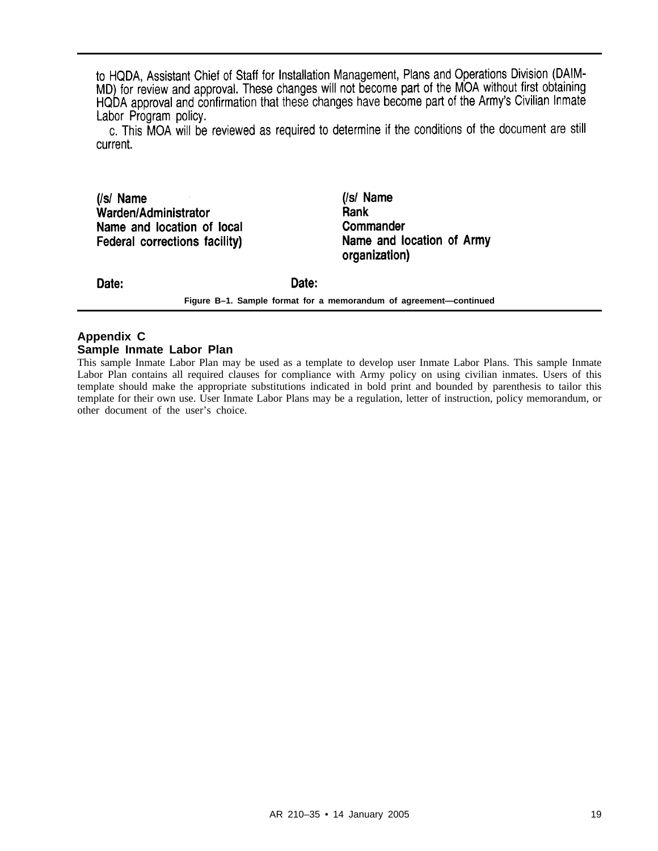to HQDA, Assistant Chief of Staff for Installation Management, Plans and Operations Division (DAIM-MD) for review and approval. These changes will not become part of the MOA without first obtaining HQDA approval and confirmation that these changes have become part of the Army's Civilian Inmate Labor Program policy.

c. This MOA will be reviewed as required to determine if the conditions of the document are still current.

(/s/ Name Warden/Administrator Name and location of local Federal corrections facility)

(/s/ Name Rank Commander Name and location of Army organization)

Date:

Date:

**Figure B–1. Sample format for a memorandum of agreement—continued**

#### **Appendix C Sample Inmate Labor Plan**

This sample Inmate Labor Plan may be used as a template to develop user Inmate Labor Plans. This sample Inmate Labor Plan contains all required clauses for compliance with Army policy on using civilian inmates. Users of this template should make the appropriate substitutions indicated in bold print and bounded by parenthesis to tailor this template for their own use. User Inmate Labor Plans may be a regulation, letter of instruction, policy memorandum, or other document of the user's choice.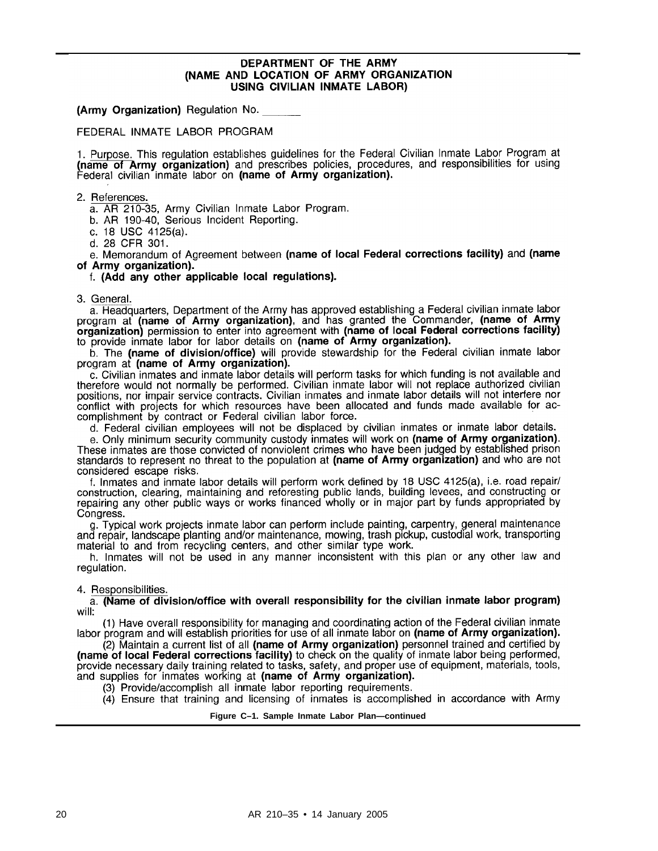#### DEPARTMENT OF THE ARMY (NAME AND LOCATION OF ARMY ORGANIZATION USING CIVILIAN INMATE LABOR)

(Army Organization) Regulation No.

FEDERAL INMATE LABOR PROGRAM

1. Purpose. This regulation establishes guidelines for the Federal Civilian Inmate Labor Program at (name of Army organization) and prescribes policies, procedures, and responsibilities for using<br>Federal civilian inmate labor on (name of Army organization).

#### 2. References.

a. AR 210-35, Army Civilian Inmate Labor Program.

b. AR 190-40, Serious Incident Reporting.

- c. 18 USC 4125(a).
- d. 28 CFR 301.

e. Memorandum of Agreement between (name of local Federal corrections facility) and (name of Army organization).

#### f. (Add any other applicable local regulations).

#### 3. General.

a. Headquarters, Department of the Army has approved establishing a Federal civilian inmate labor program at (name of Army organization), and has granted the Commander, (name of Army organization) permission to enter into agreement with (name of local Federal corrections facility) to provide inmate labor for labor details on (name of Army organization).

b. The (name of division/office) will provide stewardship for the Federal civilian inmate labor program at (name of Army organization).

c. Civilian inmates and inmate labor details will perform tasks for which funding is not available and therefore would not normally be performed. Civilian inmate labor will not replace authorized civilian positions, nor impair service contracts. Civilian inmates and inmate labor details will not interfere nor conflict with projects for which resources have been allocated and funds made available for accomplishment by contract or Federal civilian labor force.

d. Federal civilian employees will not be displaced by civilian inmates or inmate labor details.

e. Only minimum security community custody inmates will work on (name of Army organization). These inmates are those convicted of nonviolent crimes who have been judged by established prison standards to represent no threat to the population at (name of Army organization) and who are not considered escape risks.

f. Inmates and inmate labor details will perform work defined by 18 USC 4125(a), i.e. road repair/ construction, clearing, maintaining and reforesting public lands, building levees, and constructing or repairing any other public ways or works financed wholly or in major part by funds appropriated by Congress.

g. Typical work projects inmate labor can perform include painting, carpentry, general maintenance and repair, landscape planting and/or maintenance, mowing, trash pickup, custodial work, transporting material to and from recycling centers, and other similar type work.

h. Inmates will not be used in any manner inconsistent with this plan or any other law and regulation.

#### 4. Responsibilities.

a. (Name of division/office with overall responsibility for the civilian inmate labor program) will:

(1) Have overall responsibility for managing and coordinating action of the Federal civilian inmate labor program and will establish priorities for use of all inmate labor on (name of Army organization).

(2) Maintain a current list of all (name of Army organization) personnel trained and certified by (name of local Federal corrections facility) to check on the quality of inmate labor being performed, provide necessary daily training related to tasks, safety, and proper use of equipment, materials, tools, and supplies for inmates working at (name of Army organization).

(3) Provide/accomplish all inmate labor reporting requirements.

(4) Ensure that training and licensing of inmates is accomplished in accordance with Army

#### Figure C-1. Sample Inmate Labor Plan-continued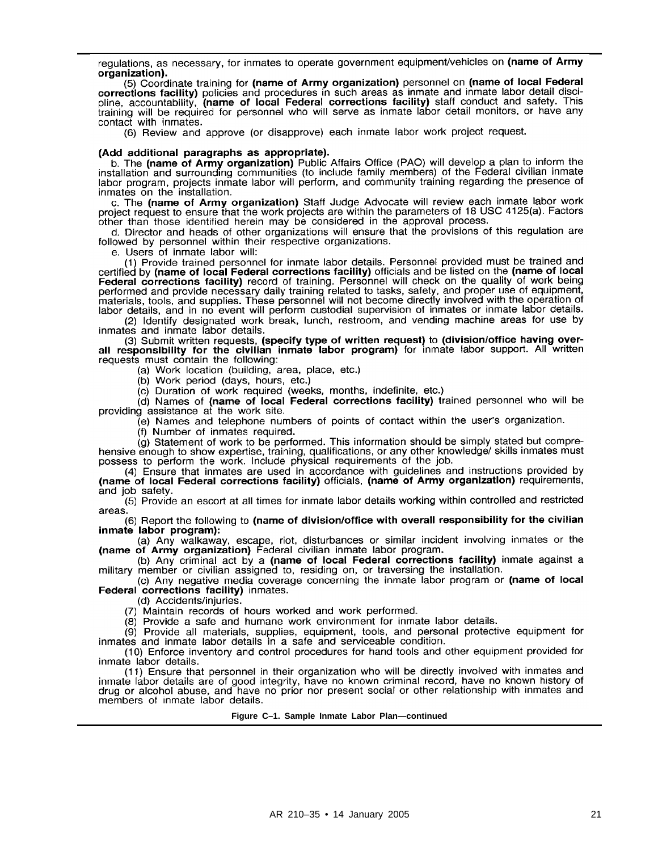regulations, as necessary, for inmates to operate government equipment/vehicles on (name of Army organization).

(5) Coordinate training for (name of Army organization) personnel on (name of local Federal corrections facility) policies and procedures in such areas as inmate and inmate labor detail discipline, accountability, (name of local Federal corrections facility) staff conduct and safety. This training will be required for personnel who will serve as inmate labor detail monitors, or have any contact with inmates.

(6) Review and approve (or disapprove) each inmate labor work project request.

#### (Add additional paragraphs as appropriate).

b. The (name of Army organization) Public Affairs Office (PAO) will develop a plan to inform the installation and surrounding communities (to include family members) of the Federal civilian inmate labor program, projects inmate labor will perform, and community training regarding the presence of inmates on the installation.

c. The (name of Army organization) Staff Judge Advocate will review each inmate labor work project request to ensure that the work projects are within the parameters of 18 USC 4125(a). Factors<br>other than those identified herein may be considered in the approval process.

d. Director and heads of other organizations will ensure that the provisions of this regulation are followed by personnel within their respective organizations.

e. Users of inmate labor will:

(1) Provide trained personnel for inmate labor details. Personnel provided must be trained and<br>certified by (name of local Federal corrections facility) officials and be listed on the (name of local Federal corrections facility) record of training. Personnel will check on the quality of work being<br>performed and provide necessary daily training related to tasks, safety, and proper use of equipment,<br>materials, tools, an labor details, and in no event will perform custodial supervision of inmates or inmate labor details.

(2) Identify designated work break, lunch, restroom, and vending machine areas for use by inmates and inmate labor details.

(3) Submit written requests, (specify type of written request) to (division/office having over-<br>all responsibility for the civilian inmate labor program) for inmate labor support. All written<br>requests must contain the foll

(a) Work location (building, area, place, etc.)

(b) Work period (days, hours, etc.)<br>(c) Duration of work required (weeks, months, indefinite, etc.)

(d) Names of (name of local Federal corrections facility) trained personnel who will be providing assistance at the work site.

(e) Names and telephone numbers of points of contact within the user's organization.

(f) Number of inmates required.

(g) Statement of work to be performed. This information should be simply stated but comprehensive enough to show expertise, training, qualifications, or any other knowledge/ skills inmates must possess to perform the work. Include physical requirements of the job.

(4) Ensure that inmates are used in accordance with guidelines and instructions provided by (name of local Federal corrections facility) officials, (name of Army organization) requirements, and job safety.

(5) Provide an escort at all times for inmate labor details working within controlled and restricted areas.

(6) Report the following to (name of division/office with overall responsibility for the civilian inmate labor program):

(a) Any walkaway, escape, riot, disturbances or similar incident involving inmates or the (name of Army organization) Federal civilian inmate labor program.

(b) Any criminal act by a (name of local Federal corrections facility) inmate against a military member or civilian assigned to, residing on, or traversing the installation.

(c) Any negative media coverage concerning the inmate labor program or (name of local Federal corrections facility) inmates.

(d) Accidents/injuries.

(7) Maintain records of hours worked and work performed.

(8) Provide a safe and humane work environment for inmate labor details.

(9) Provide all materials, supplies, equipment, tools, and personal protective equipment for inmates and inmate labor details in a safe and serviceable condition.

(10) Enforce inventory and control procedures for hand tools and other equipment provided for inmate labor details.

(11) Ensure that personnel in their organization who will be directly involved with inmates and inmate labor details are of good integrity, have no known criminal record, have no known history of drug or alcohol abuse, and have no prior nor present social or other relationship with inmates and members of inmate labor details.

#### Figure C-1. Sample Inmate Labor Plan-continued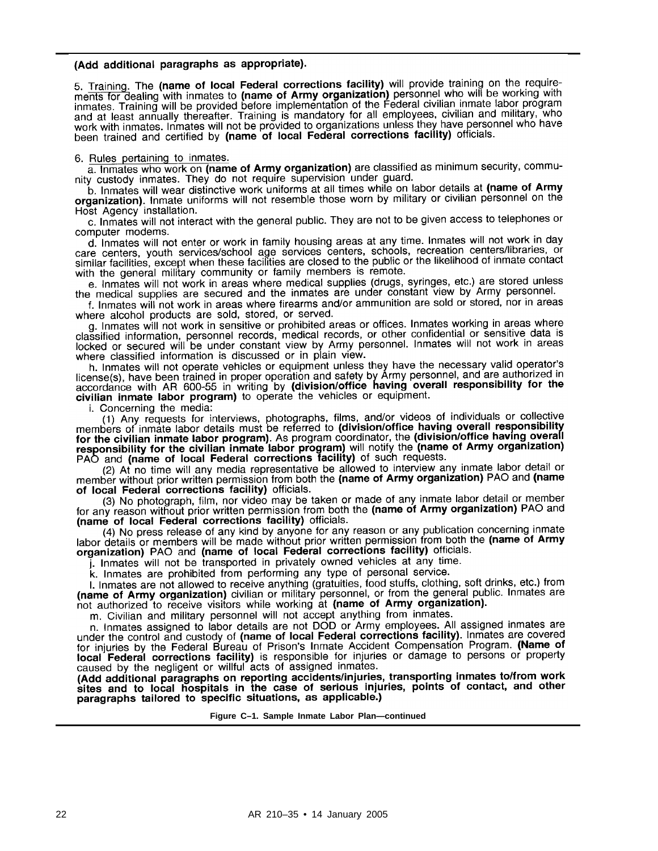#### (Add additional paragraphs as appropriate).

5. Training. The (name of local Federal corrections facility) will provide training on the requirements for dealing with inmates to (name of Army organization) personnel who will be working with<br>inmates. Training will be provided before implementation of the Federal civilian inmate labor program and at least annually thereafter. Training is mandatory for all employees, civilian and military, who work with inmates. Inmates will not be provided to organizations unless they have personnel who have been trained and certified by (name of local Federal corrections facility) officials.

#### 6. Rules pertaining to inmates.

a. Inmates who work on (name of Army organization) are classified as minimum security, community custody inmates. They do not require supervision under guard.

b. Inmates will wear distinctive work uniforms at all times while on labor details at (name of Army organization). Inmate uniforms will not resemble those worn by military or civilian personnel on the Host Agency installation.

c. Inmates will not interact with the general public. They are not to be given access to telephones or computer modems.

d. Inmates will not enter or work in family housing areas at any time. Inmates will not work in day care centers, youth services/school age services centers, schools, recreation centers/libraries, or similar facilities, except when these facilities are closed to the public or the likelihood of inmate contact with the general military community or family members is remote.

e. Inmates will not work in areas where medical supplies (drugs, syringes, etc.) are stored unless the medical supplies are secured and the inmates are under constant view by Army personnel.

f. Inmates will not work in areas where firearms and/or ammunition are sold or stored, nor in areas where alcohol products are sold, stored, or served.

g. Inmates will not work in sensitive or prohibited areas or offices. Inmates working in areas where classified information, personnel records, medical records, or other confidential or sensitive data is locked or secured will be under constant view by Army personnel. Inmates will not work in areas where classified information is discussed or in plain view.

h. Inmates will not operate vehicles or equipment unless they have the necessary valid operator's license(s), have been trained in proper operation and safety by Army personnel, and are authorized in accordance with AR 600-55 in writing by (division/office having overall responsibility for the civilian inmate labor pro

i. Concerning the media:

(1) Any requests for interviews, photographs, films, and/or videos of individuals or collective<br>members of inmate labor details must be referred to (division/office having overall responsibility for the civilian inmate labor program). As program coordinator, the (division/office having overall<br>responsibility for the civilian inmate labor program) will notify the (name of Army organization)<br>PAO and (name of local F

2) At no time will any media representative be allowed to interview any inmate labor detail or member without prior written permission from both the (name of Army organization) PAO and (name of local Federal corrections facility) officials.

(3) No photograph, film, nor video may be taken or made of any inmate labor detail or member for any reason without prior written permission from both the (name of Army organization) PAO and (name of local Federal corrections facility) officials.

(4) No press release of any kind by anyone for any reason or any publication concerning inmate labor details or members will be made without prior written permission from both the (name of Army organization) PAO and (name of local Federal corrections facility) officials.

j. Inmates will not be transported in privately owned vehicles at any time.

k. Inmates are prohibited from performing any type of personal service.

I. Inmates are not allowed to receive anything (gratuities, food stuffs, clothing, soft drinks, etc.) from (name of Army organization) civilian or military personnel, or from the general public. Inmates are not authorized to receive visitors while working at (name of Army organization).

m. Civilian and military personnel will not accept anything from inmates.

n. Inmates assigned to labor details are not DOD or Army employees. All assigned inmates are under the control and custody of (name of local Federal corrections facility). Inmates are covered for injuries by the Federal Bureau of Prison's Inmate Accident Compensation Program. (Name of local Federal corrections facility) is responsible for injuries or damage to persons or property caused by the negligent or willful acts of assigned inmates.

(Add additional paragraphs on reporting accidents/injuries, transporting inmates to/from work sites and to local hospitals in the case of serious injuries, points of contact, and other paragraphs tailored to specific situations, as applicable.)

Figure C-1. Sample Inmate Labor Plan-continued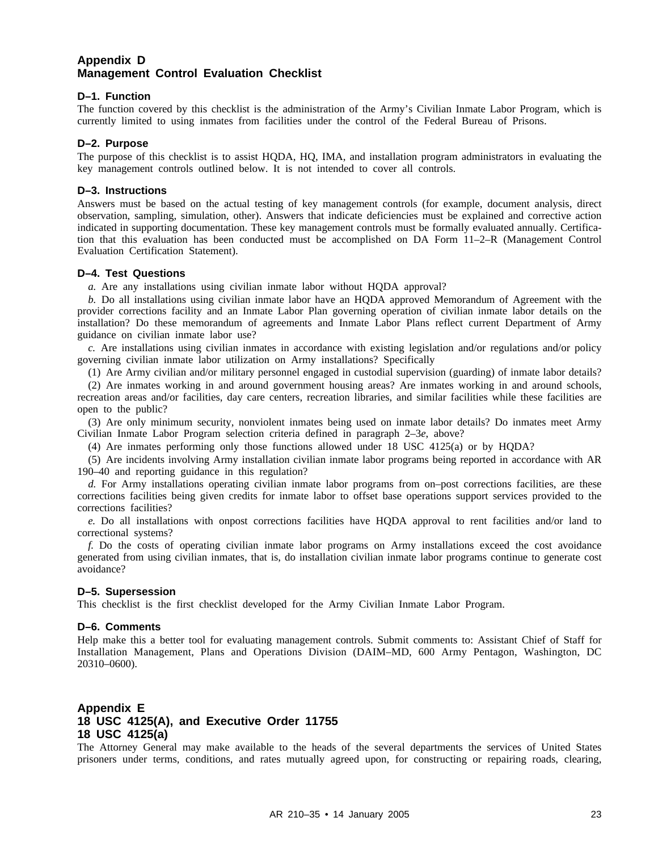#### **Appendix D Management Control Evaluation Checklist**

#### **D–1. Function**

The function covered by this checklist is the administration of the Army's Civilian Inmate Labor Program, which is currently limited to using inmates from facilities under the control of the Federal Bureau of Prisons.

#### **D–2. Purpose**

The purpose of this checklist is to assist HQDA, HQ, IMA, and installation program administrators in evaluating the key management controls outlined below. It is not intended to cover all controls.

#### **D–3. Instructions**

Answers must be based on the actual testing of key management controls (for example, document analysis, direct observation, sampling, simulation, other). Answers that indicate deficiencies must be explained and corrective action indicated in supporting documentation. These key management controls must be formally evaluated annually. Certification that this evaluation has been conducted must be accomplished on DA Form 11–2–R (Management Control Evaluation Certification Statement).

#### **D–4. Test Questions**

*a.* Are any installations using civilian inmate labor without HQDA approval?

*b.* Do all installations using civilian inmate labor have an HQDA approved Memorandum of Agreement with the provider corrections facility and an Inmate Labor Plan governing operation of civilian inmate labor details on the installation? Do these memorandum of agreements and Inmate Labor Plans reflect current Department of Army guidance on civilian inmate labor use?

*c.* Are installations using civilian inmates in accordance with existing legislation and/or regulations and/or policy governing civilian inmate labor utilization on Army installations? Specifically

(1) Are Army civilian and/or military personnel engaged in custodial supervision (guarding) of inmate labor details?

(2) Are inmates working in and around government housing areas? Are inmates working in and around schools, recreation areas and/or facilities, day care centers, recreation libraries, and similar facilities while these facilities are open to the public?

(3) Are only minimum security, nonviolent inmates being used on inmate labor details? Do inmates meet Army Civilian Inmate Labor Program selection criteria defined in paragraph 2–3*e*, above?

(4) Are inmates performing only those functions allowed under 18 USC 4125(a) or by HQDA?

(5) Are incidents involving Army installation civilian inmate labor programs being reported in accordance with AR 190–40 and reporting guidance in this regulation?

*d.* For Army installations operating civilian inmate labor programs from on–post corrections facilities, are these corrections facilities being given credits for inmate labor to offset base operations support services provided to the corrections facilities?

*e.* Do all installations with onpost corrections facilities have HQDA approval to rent facilities and/or land to correctional systems?

*f.* Do the costs of operating civilian inmate labor programs on Army installations exceed the cost avoidance generated from using civilian inmates, that is, do installation civilian inmate labor programs continue to generate cost avoidance?

#### **D–5. Supersession**

This checklist is the first checklist developed for the Army Civilian Inmate Labor Program.

#### **D–6. Comments**

Help make this a better tool for evaluating management controls. Submit comments to: Assistant Chief of Staff for Installation Management, Plans and Operations Division (DAIM–MD, 600 Army Pentagon, Washington, DC 20310–0600).

#### **Appendix E 18 USC 4125(A), and Executive Order 11755 18 USC 4125(a)**

The Attorney General may make available to the heads of the several departments the services of United States prisoners under terms, conditions, and rates mutually agreed upon, for constructing or repairing roads, clearing,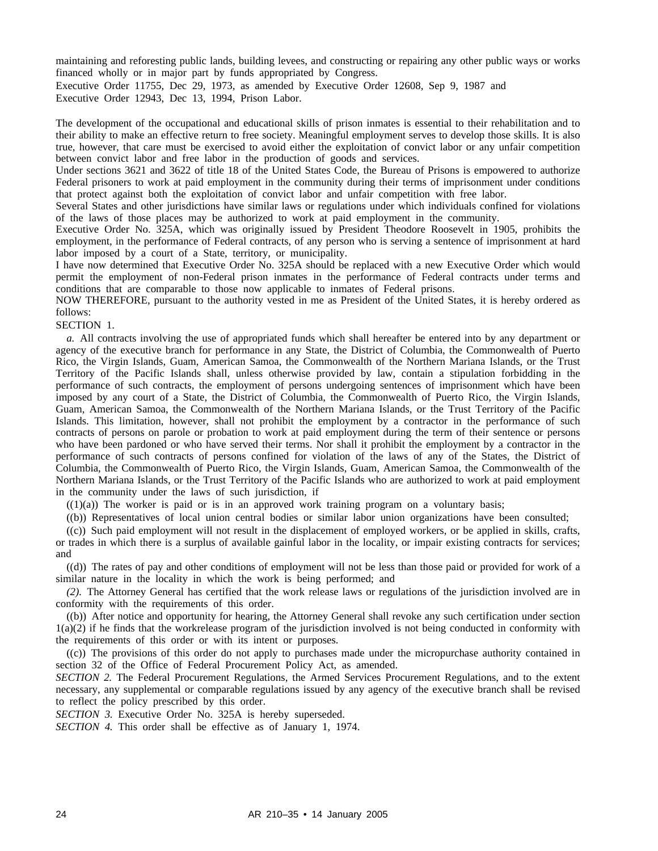maintaining and reforesting public lands, building levees, and constructing or repairing any other public ways or works financed wholly or in major part by funds appropriated by Congress.

Executive Order 11755, Dec 29, 1973, as amended by Executive Order 12608, Sep 9, 1987 and Executive Order 12943, Dec 13, 1994, Prison Labor.

The development of the occupational and educational skills of prison inmates is essential to their rehabilitation and to their ability to make an effective return to free society. Meaningful employment serves to develop those skills. It is also true, however, that care must be exercised to avoid either the exploitation of convict labor or any unfair competition between convict labor and free labor in the production of goods and services.

Under sections 3621 and 3622 of title 18 of the United States Code, the Bureau of Prisons is empowered to authorize Federal prisoners to work at paid employment in the community during their terms of imprisonment under conditions that protect against both the exploitation of convict labor and unfair competition with free labor.

Several States and other jurisdictions have similar laws or regulations under which individuals confined for violations of the laws of those places may be authorized to work at paid employment in the community.

Executive Order No. 325A, which was originally issued by President Theodore Roosevelt in 1905, prohibits the employment, in the performance of Federal contracts, of any person who is serving a sentence of imprisonment at hard labor imposed by a court of a State, territory, or municipality.

I have now determined that Executive Order No. 325A should be replaced with a new Executive Order which would permit the employment of non-Federal prison inmates in the performance of Federal contracts under terms and conditions that are comparable to those now applicable to inmates of Federal prisons.

NOW THEREFORE, pursuant to the authority vested in me as President of the United States, it is hereby ordered as follows:

SECTION 1.

*a.* All contracts involving the use of appropriated funds which shall hereafter be entered into by any department or agency of the executive branch for performance in any State, the District of Columbia, the Commonwealth of Puerto Rico, the Virgin Islands, Guam, American Samoa, the Commonwealth of the Northern Mariana Islands, or the Trust Territory of the Pacific Islands shall, unless otherwise provided by law, contain a stipulation forbidding in the performance of such contracts, the employment of persons undergoing sentences of imprisonment which have been imposed by any court of a State, the District of Columbia, the Commonwealth of Puerto Rico, the Virgin Islands, Guam, American Samoa, the Commonwealth of the Northern Mariana Islands, or the Trust Territory of the Pacific Islands. This limitation, however, shall not prohibit the employment by a contractor in the performance of such contracts of persons on parole or probation to work at paid employment during the term of their sentence or persons who have been pardoned or who have served their terms. Nor shall it prohibit the employment by a contractor in the performance of such contracts of persons confined for violation of the laws of any of the States, the District of Columbia, the Commonwealth of Puerto Rico, the Virgin Islands, Guam, American Samoa, the Commonwealth of the Northern Mariana Islands, or the Trust Territory of the Pacific Islands who are authorized to work at paid employment in the community under the laws of such jurisdiction, if

 $((1)(a))$  The worker is paid or is in an approved work training program on a voluntary basis;

((b)) Representatives of local union central bodies or similar labor union organizations have been consulted;

((c)) Such paid employment will not result in the displacement of employed workers, or be applied in skills, crafts, or trades in which there is a surplus of available gainful labor in the locality, or impair existing contracts for services; and

((d)) The rates of pay and other conditions of employment will not be less than those paid or provided for work of a similar nature in the locality in which the work is being performed; and

*(2).* The Attorney General has certified that the work release laws or regulations of the jurisdiction involved are in conformity with the requirements of this order.

((b)) After notice and opportunity for hearing, the Attorney General shall revoke any such certification under section 1(a)(2) if he finds that the workrelease program of the jurisdiction involved is not being conducted in conformity with the requirements of this order or with its intent or purposes.

((c)) The provisions of this order do not apply to purchases made under the micropurchase authority contained in section 32 of the Office of Federal Procurement Policy Act, as amended.

*SECTION 2.* The Federal Procurement Regulations, the Armed Services Procurement Regulations, and to the extent necessary, any supplemental or comparable regulations issued by any agency of the executive branch shall be revised to reflect the policy prescribed by this order.

*SECTION 3.* Executive Order No. 325A is hereby superseded.

*SECTION 4.* This order shall be effective as of January 1, 1974.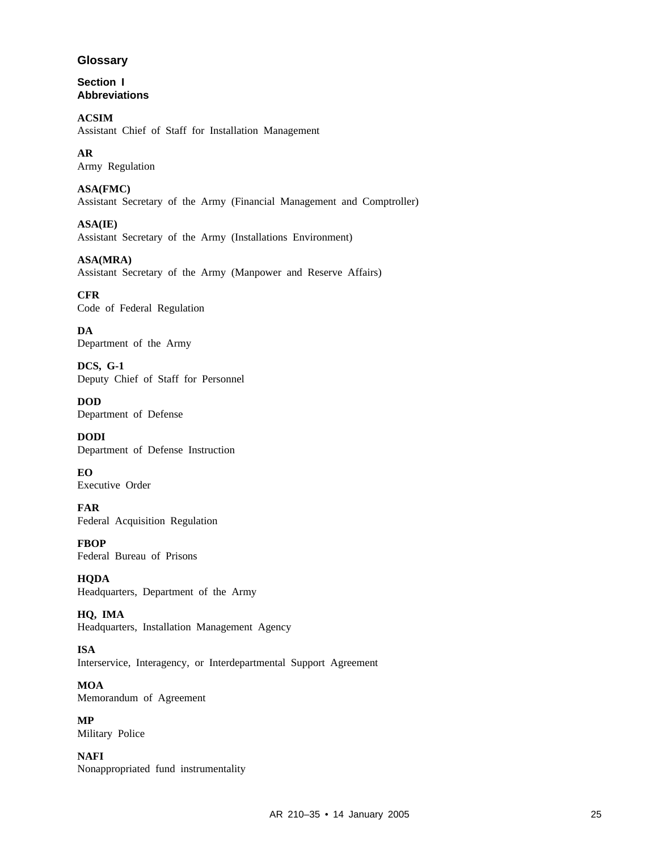#### **Glossary**

**Section I Abbreviations**

**ACSIM** Assistant Chief of Staff for Installation Management

**AR** Army Regulation

**ASA(FMC)** Assistant Secretary of the Army (Financial Management and Comptroller)

**ASA(IE)** Assistant Secretary of the Army (Installations Environment)

**ASA(MRA)** Assistant Secretary of the Army (Manpower and Reserve Affairs)

**CFR** Code of Federal Regulation

**DA** Department of the Army

**DCS, G-1** Deputy Chief of Staff for Personnel

**DOD** Department of Defense

**DODI** Department of Defense Instruction

**EO** Executive Order

**FAR** Federal Acquisition Regulation

**FBOP** Federal Bureau of Prisons

**HQDA** Headquarters, Department of the Army

**HQ, IMA** Headquarters, Installation Management Agency

**ISA** Interservice, Interagency, or Interdepartmental Support Agreement

**MOA** Memorandum of Agreement

**MP** Military Police

**NAFI** Nonappropriated fund instrumentality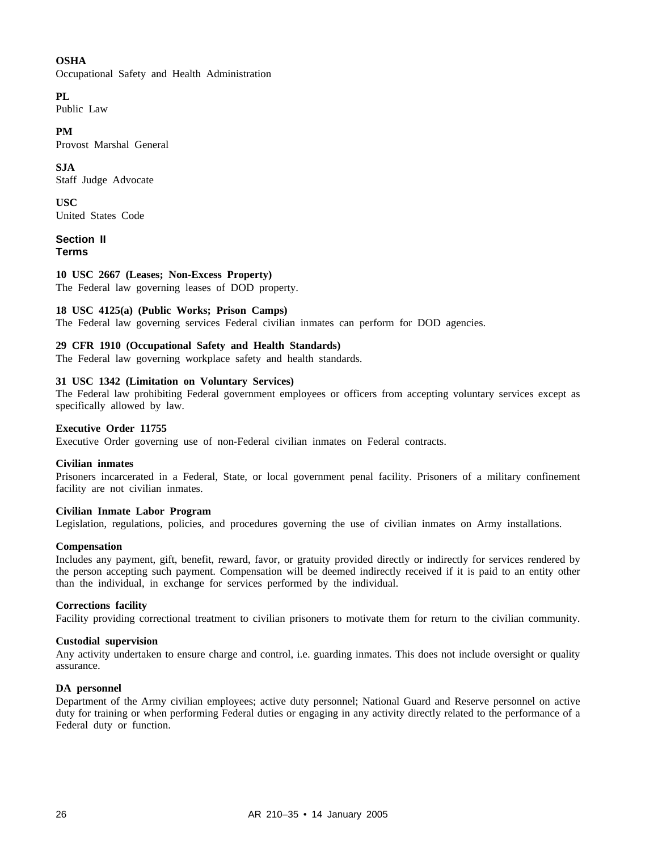#### **OSHA**

Occupational Safety and Health Administration

#### **PL**

Public Law

#### **PM**

Provost Marshal General

#### **SJA**

Staff Judge Advocate

#### **USC** United States Code

**Section II Terms**

#### **10 USC 2667 (Leases; Non-Excess Property)**

The Federal law governing leases of DOD property.

#### **18 USC 4125(a) (Public Works; Prison Camps)**

The Federal law governing services Federal civilian inmates can perform for DOD agencies.

#### **29 CFR 1910 (Occupational Safety and Health Standards)**

The Federal law governing workplace safety and health standards.

#### **31 USC 1342 (Limitation on Voluntary Services)**

The Federal law prohibiting Federal government employees or officers from accepting voluntary services except as specifically allowed by law.

#### **Executive Order 11755**

Executive Order governing use of non-Federal civilian inmates on Federal contracts.

#### **Civilian inmates**

Prisoners incarcerated in a Federal, State, or local government penal facility. Prisoners of a military confinement facility are not civilian inmates.

#### **Civilian Inmate Labor Program**

Legislation, regulations, policies, and procedures governing the use of civilian inmates on Army installations.

#### **Compensation**

Includes any payment, gift, benefit, reward, favor, or gratuity provided directly or indirectly for services rendered by the person accepting such payment. Compensation will be deemed indirectly received if it is paid to an entity other than the individual, in exchange for services performed by the individual.

#### **Corrections facility**

Facility providing correctional treatment to civilian prisoners to motivate them for return to the civilian community.

#### **Custodial supervision**

Any activity undertaken to ensure charge and control, i.e. guarding inmates. This does not include oversight or quality assurance.

#### **DA personnel**

Department of the Army civilian employees; active duty personnel; National Guard and Reserve personnel on active duty for training or when performing Federal duties or engaging in any activity directly related to the performance of a Federal duty or function.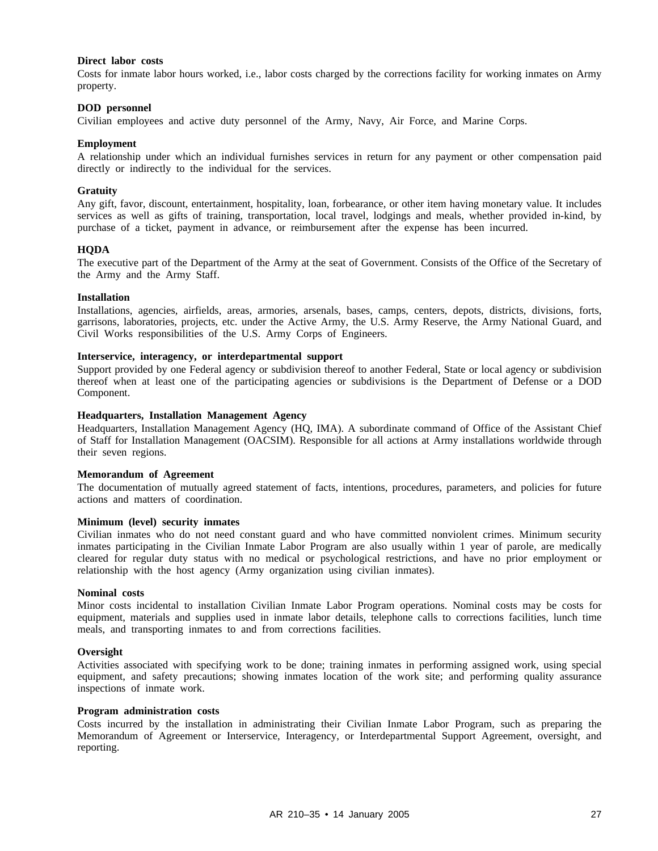#### **Direct labor costs**

Costs for inmate labor hours worked, i.e., labor costs charged by the corrections facility for working inmates on Army property.

#### **DOD personnel**

Civilian employees and active duty personnel of the Army, Navy, Air Force, and Marine Corps.

#### **Employment**

A relationship under which an individual furnishes services in return for any payment or other compensation paid directly or indirectly to the individual for the services.

#### **Gratuity**

Any gift, favor, discount, entertainment, hospitality, loan, forbearance, or other item having monetary value. It includes services as well as gifts of training, transportation, local travel, lodgings and meals, whether provided in-kind, by purchase of a ticket, payment in advance, or reimbursement after the expense has been incurred.

#### **HQDA**

The executive part of the Department of the Army at the seat of Government. Consists of the Office of the Secretary of the Army and the Army Staff.

#### **Installation**

Installations, agencies, airfields, areas, armories, arsenals, bases, camps, centers, depots, districts, divisions, forts, garrisons, laboratories, projects, etc. under the Active Army, the U.S. Army Reserve, the Army National Guard, and Civil Works responsibilities of the U.S. Army Corps of Engineers.

#### **Interservice, interagency, or interdepartmental support**

Support provided by one Federal agency or subdivision thereof to another Federal, State or local agency or subdivision thereof when at least one of the participating agencies or subdivisions is the Department of Defense or a DOD Component.

#### **Headquarters, Installation Management Agency**

Headquarters, Installation Management Agency (HQ, IMA). A subordinate command of Office of the Assistant Chief of Staff for Installation Management (OACSIM). Responsible for all actions at Army installations worldwide through their seven regions.

#### **Memorandum of Agreement**

The documentation of mutually agreed statement of facts, intentions, procedures, parameters, and policies for future actions and matters of coordination.

#### **Minimum (level) security inmates**

Civilian inmates who do not need constant guard and who have committed nonviolent crimes. Minimum security inmates participating in the Civilian Inmate Labor Program are also usually within 1 year of parole, are medically cleared for regular duty status with no medical or psychological restrictions, and have no prior employment or relationship with the host agency (Army organization using civilian inmates).

#### **Nominal costs**

Minor costs incidental to installation Civilian Inmate Labor Program operations. Nominal costs may be costs for equipment, materials and supplies used in inmate labor details, telephone calls to corrections facilities, lunch time meals, and transporting inmates to and from corrections facilities.

#### **Oversight**

Activities associated with specifying work to be done; training inmates in performing assigned work, using special equipment, and safety precautions; showing inmates location of the work site; and performing quality assurance inspections of inmate work.

#### **Program administration costs**

Costs incurred by the installation in administrating their Civilian Inmate Labor Program, such as preparing the Memorandum of Agreement or Interservice, Interagency, or Interdepartmental Support Agreement, oversight, and reporting.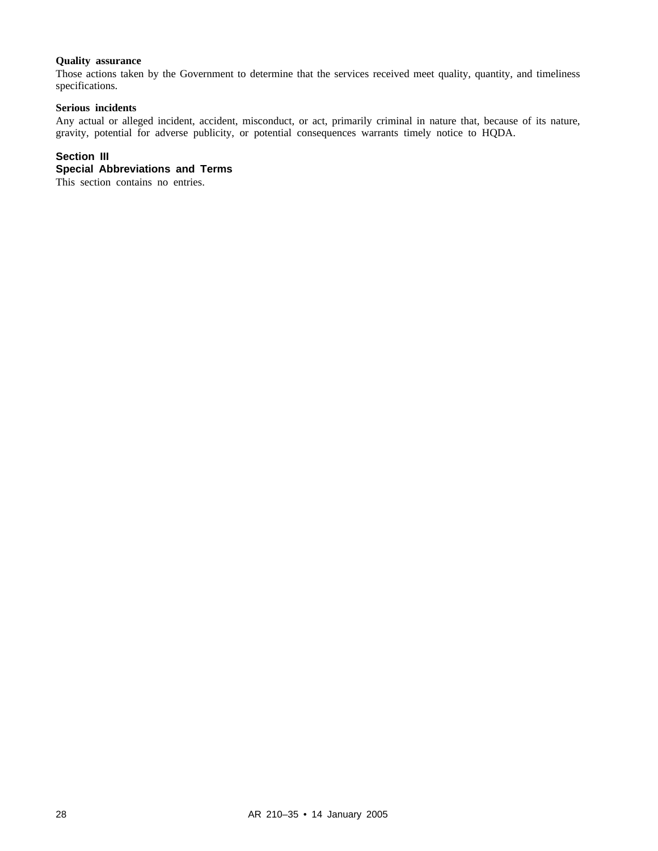#### **Quality assurance**

Those actions taken by the Government to determine that the services received meet quality, quantity, and timeliness specifications.

#### **Serious incidents**

Any actual or alleged incident, accident, misconduct, or act, primarily criminal in nature that, because of its nature, gravity, potential for adverse publicity, or potential consequences warrants timely notice to HQDA.

#### **Section III**

#### **Special Abbreviations and Terms**

This section contains no entries.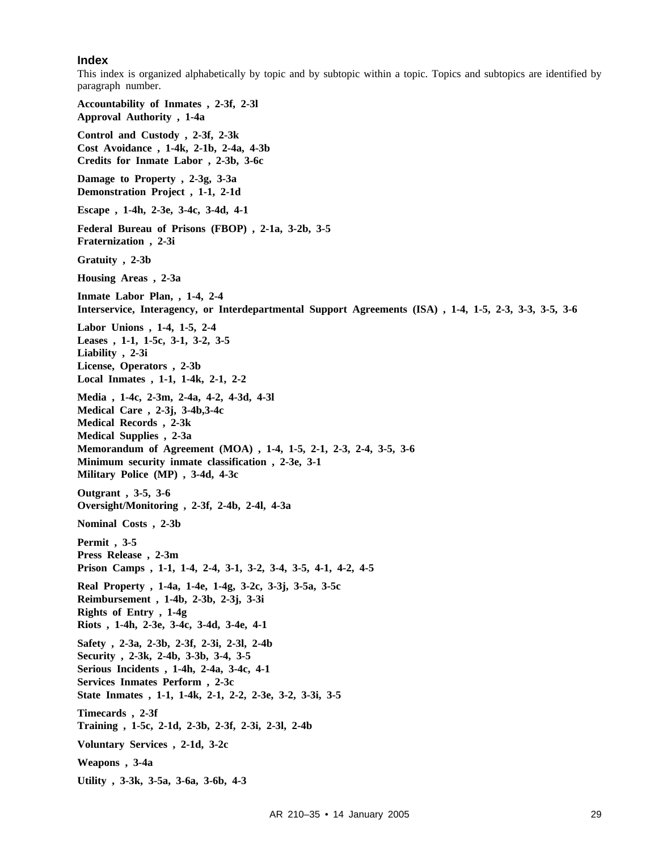**Index** This index is organized alphabetically by topic and by subtopic within a topic. Topics and subtopics are identified by paragraph number. **Accountability of Inmates , 2-3f, 2-3l Approval Authority , 1-4a Control and Custody , 2-3f, 2-3k Cost Avoidance , 1-4k, 2-1b, 2-4a, 4-3b Credits for Inmate Labor , 2-3b, 3-6c Damage to Property , 2-3g, 3-3a Demonstration Project , 1-1, 2-1d Escape , 1-4h, 2-3e, 3-4c, 3-4d, 4-1 Federal Bureau of Prisons (FBOP) , 2-1a, 3-2b, 3-5 Fraternization , 2-3i Gratuity , 2-3b Housing Areas , 2-3a Inmate Labor Plan, , 1-4, 2-4 Interservice, Interagency, or Interdepartmental Support Agreements (ISA) , 1-4, 1-5, 2-3, 3-3, 3-5, 3-6 Labor Unions , 1-4, 1-5, 2-4 Leases , 1-1, 1-5c, 3-1, 3-2, 3-5 Liability , 2-3i License, Operators , 2-3b Local Inmates , 1-1, 1-4k, 2-1, 2-2 Media , 1-4c, 2-3m, 2-4a, 4-2, 4-3d, 4-3l Medical Care , 2-3j, 3-4b,3-4c Medical Records , 2-3k Medical Supplies , 2-3a Memorandum of Agreement (MOA) , 1-4, 1-5, 2-1, 2-3, 2-4, 3-5, 3-6 Minimum security inmate classification , 2-3e, 3-1 Military Police (MP) , 3-4d, 4-3c**

**Outgrant , 3-5, 3-6 Oversight/Monitoring , 2-3f, 2-4b, 2-4l, 4-3a**

**Nominal Costs , 2-3b**

**Permit , 3-5 Press Release , 2-3m Prison Camps , 1-1, 1-4, 2-4, 3-1, 3-2, 3-4, 3-5, 4-1, 4-2, 4-5**

**Real Property , 1-4a, 1-4e, 1-4g, 3-2c, 3-3j, 3-5a, 3-5c Reimbursement , 1-4b, 2-3b, 2-3j, 3-3i Rights of Entry , 1-4g Riots , 1-4h, 2-3e, 3-4c, 3-4d, 3-4e, 4-1**

**Safety , 2-3a, 2-3b, 2-3f, 2-3i, 2-3l, 2-4b Security , 2-3k, 2-4b, 3-3b, 3-4, 3-5 Serious Incidents , 1-4h, 2-4a, 3-4c, 4-1 Services Inmates Perform , 2-3c State Inmates , 1-1, 1-4k, 2-1, 2-2, 2-3e, 3-2, 3-3i, 3-5 Timecards , 2-3f Training , 1-5c, 2-1d, 2-3b, 2-3f, 2-3i, 2-3l, 2-4b Voluntary Services , 2-1d, 3-2c Weapons , 3-4a**

**Utility , 3-3k, 3-5a, 3-6a, 3-6b, 4-3**